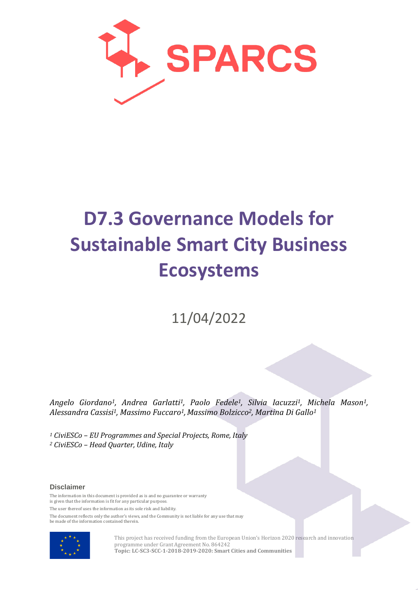

# **D7.3 Governance Models for Sustainable Smart City Business Ecosystems**

11/04/2022

*Angelo Giordano1, Andrea Garlatti1, Paolo Fedele1, Silvia Iacuzzi1, Michela Mason1, Alessandra Cassisi1, Massimo Fuccaro1,Massimo Bolzicco2, Martina Di Gallo1*

*<sup>1</sup> CiviESCo – EU Programmes and Special Projects, Rome, Italy <sup>2</sup> CiviESCo – Head Quarter, Udine, Italy*

#### **Disclaimer**

The information in this document is provided as is and no guarantee or warranty is given that the information is fit for any particular purpose.

The user thereof uses the information as its sole risk and liability.

The document reflects only the author's views, and the Community is not liable for any use that may be made of the information contained therein.



This project has received funding from the European Union's Horizon 2020 research and innovation programme under Grant Agreement No. 864242 **Topic: LC-SC3-SCC-1-2018-2019-2020: Smart Cities and Communities**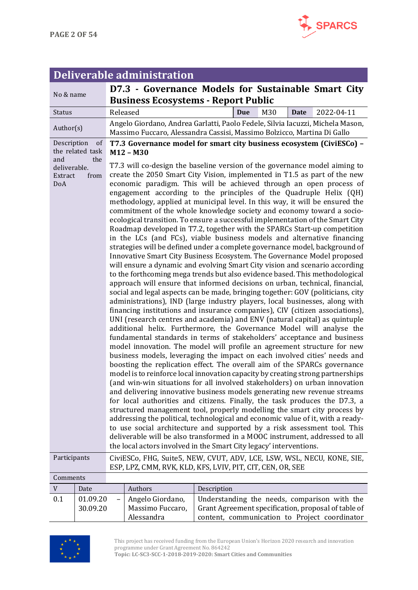

#### **Deliverable administration** No & name **D7.3 - Governance Models for Sustainable Smart City Business Ecosystems - Report Public** Status Released **Due** M30 **Date** 2022-04-11 Author(s) Angelo Giordano, Andrea Garlatti, Paolo Fedele, Silvia Iacuzzi, Michela Mason, Massimo Fuccaro, Alessandra Cassisi, Massimo Bolzicco, Martina Di Gallo Description of the related task<br>and the and the deliverable. Extract from DoA **T7.3 Governance model for smart city business ecosystem (CiviESCo) – M12 – M30** T7.3 will co-design the baseline version of the governance model aiming to create the 2050 Smart City Vision, implemented in T1.5 as part of the new economic paradigm. This will be achieved through an open process of engagement according to the principles of the Quadruple Helix (QH) methodology, applied at municipal level. In this way, it will be ensured the commitment of the whole knowledge society and economy toward a socioecological transition. To ensure a successful implementation of the Smart City Roadmap developed in T7.2, together with the SPARCs Start-up competition in the LCs (and FCs), viable business models and alternative financing strategies will be defined under a complete governance model, background of Innovative Smart City Business Ecosystem. The Governance Model proposed will ensure a dynamic and evolving Smart City vision and scenario according to the forthcoming mega trends but also evidence based. This methodological approach will ensure that informed decisions on urban, technical, financial, social and legal aspects can be made, bringing together: GOV (politicians, city administrations), IND (large industry players, local businesses, along with financing institutions and insurance companies), CIV (citizen associations), UNI (research centres and academia) and ENV (natural capital) as quintuple additional helix. Furthermore, the Governance Model will analyse the fundamental standards in terms of stakeholders' acceptance and business model innovation. The model will profile an agreement structure for new business models, leveraging the impact on each involved cities' needs and boosting the replication effect. The overall aim of the SPARCs governance model is to reinforce local innovation capacity by creating strong partnerships (and win-win situations for all involved stakeholders) on urban innovation and delivering innovative business models generating new revenue streams for local authorities and citizens. Finally, the task produces the D7.3, a structured management tool, properly modelling the smart city process by addressing the political, technological and economic value of it, with a readyto use social architecture and supported by a risk assessment tool. This deliverable will be also transformed in a MOOC instrument, addressed to all the local actors involved in the Smart City legacy' interventions. Participants CiviESCo, FHG, Suite5, NEW, CVUT, ADV, LCE, LSW, WSL, NECU, KONE, SIE, ESP, LPZ, CMM, RVK, KLD, KFS, LVIV, PIT, CIT, CEN, OR, SEE Comments V Date Authors Description  $0.1$  01.09.20 30.09.20 Angelo Giordano, Massimo Fuccaro, Alessandra Understanding the needs, comparison with the Grant Agreement specification, proposal of table of content, communication to Project coordinator



This project has received funding from the European Union's Horizon 2020 research and innovation programme under Grant Agreement No. 864242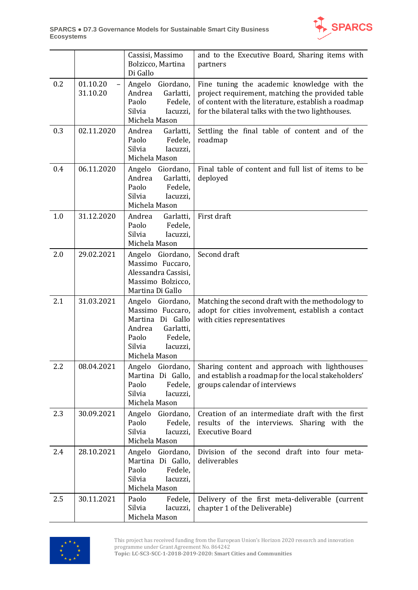

|     |                      | Cassisi, Massimo<br>Bolzicco, Martina<br>Di Gallo                                                                                          | and to the Executive Board, Sharing items with<br>partners                                                                                                                                                  |
|-----|----------------------|--------------------------------------------------------------------------------------------------------------------------------------------|-------------------------------------------------------------------------------------------------------------------------------------------------------------------------------------------------------------|
| 0.2 | 01.10.20<br>31.10.20 | Angelo<br>Giordano,<br>Andrea<br>Garlatti,<br>Paolo<br>Fedele,<br>Silvia<br>Iacuzzi,<br>Michela Mason                                      | Fine tuning the academic knowledge with the<br>project requirement, matching the provided table<br>of content with the literature, establish a roadmap<br>for the bilateral talks with the two lighthouses. |
| 0.3 | 02.11.2020           | Andrea<br>Garlatti,<br>Paolo<br>Fedele,<br>Silvia<br>Iacuzzi,<br>Michela Mason                                                             | Settling the final table of content and of the<br>roadmap                                                                                                                                                   |
| 0.4 | 06.11.2020           | Angelo<br>Giordano,<br>Andrea<br>Garlatti,<br>Paolo<br>Fedele,<br>Silvia<br>Iacuzzi,<br>Michela Mason                                      | Final table of content and full list of items to be<br>deployed                                                                                                                                             |
| 1.0 | 31.12.2020           | Andrea<br>Garlatti,<br>Paolo<br>Fedele,<br>Silvia<br>Iacuzzi,<br>Michela Mason                                                             | First draft                                                                                                                                                                                                 |
| 2.0 | 29.02.2021           | Angelo Giordano,<br>Massimo Fuccaro,<br>Alessandra Cassisi,<br>Massimo Bolzicco,<br>Martina Di Gallo                                       | Second draft                                                                                                                                                                                                |
| 2.1 | 31.03.2021           | Angelo Giordano,<br>Massimo Fuccaro,<br>Martina Di Gallo<br>Andrea<br>Garlatti,<br>Paolo<br>Fedele,<br>Silvia<br>Iacuzzi,<br>Michela Mason | Matching the second draft with the methodology to<br>adopt for cities involvement, establish a contact<br>with cities representatives                                                                       |
| 2.2 | 08.04.2021           | Angelo Giordano,<br>Martina Di Gallo,<br>Paolo<br>Fedele,<br>Silvia<br>Iacuzzi,<br>Michela Mason                                           | Sharing content and approach with lighthouses<br>and establish a roadmap for the local stakeholders'<br>groups calendar of interviews                                                                       |
| 2.3 | 30.09.2021           | Angelo<br>Giordano,<br>Paolo<br>Fedele,<br>Silvia<br>Iacuzzi,<br>Michela Mason                                                             | Creation of an intermediate draft with the first<br>results of the interviews. Sharing with the<br><b>Executive Board</b>                                                                                   |
| 2.4 | 28.10.2021           | Giordano,<br>Angelo<br>Martina Di Gallo,<br>Paolo<br>Fedele,<br>Silvia<br>Iacuzzi,<br>Michela Mason                                        | Division of the second draft into four meta-<br>deliverables                                                                                                                                                |
| 2.5 | 30.11.2021           | Paolo<br>Fedele,<br>Silvia<br>Iacuzzi,<br>Michela Mason                                                                                    | Delivery of the first meta-deliverable (current<br>chapter 1 of the Deliverable)                                                                                                                            |



This project has received funding from the European Union's Horizon 2020 research and innovation programme under Grant Agreement No. 864242 **Topic: LC-SC3-SCC-1-2018-2019-2020: Smart Cities and Communities**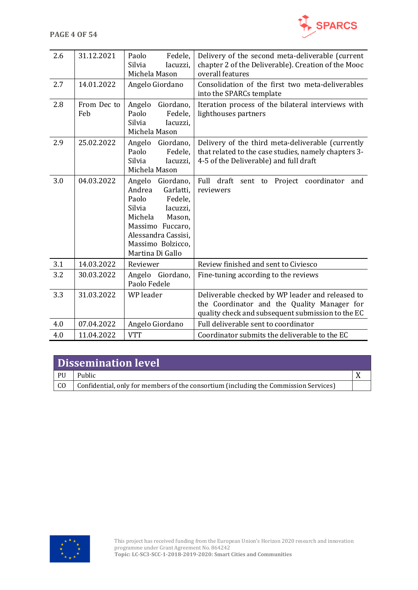

| 2.6 | 31.12.2021         | Paolo<br>Fedele,<br>Silvia<br>Iacuzzi,<br>Michela Mason                                                                                                                                       | Delivery of the second meta-deliverable (current<br>chapter 2 of the Deliverable). Creation of the Mooc<br>overall features                          |
|-----|--------------------|-----------------------------------------------------------------------------------------------------------------------------------------------------------------------------------------------|------------------------------------------------------------------------------------------------------------------------------------------------------|
| 2.7 | 14.01.2022         | Angelo Giordano                                                                                                                                                                               | Consolidation of the first two meta-deliverables<br>into the SPARCs template                                                                         |
| 2.8 | From Dec to<br>Feb | Angelo<br>Giordano,<br>Paolo<br>Fedele,<br>Silvia<br>Iacuzzi,<br>Michela Mason                                                                                                                | Iteration process of the bilateral interviews with<br>lighthouses partners                                                                           |
| 2.9 | 25.02.2022         | Angelo<br>Giordano,<br>Paolo<br>Fedele,<br>Silvia<br>Iacuzzi,<br>Michela Mason                                                                                                                | Delivery of the third meta-deliverable (currently<br>that related to the case studies, namely chapters 3-<br>4-5 of the Deliverable) and full draft  |
| 3.0 | 04.03.2022         | Angelo<br>Giordano,<br>Andrea<br>Garlatti,<br>Paolo<br>Fedele,<br>Silvia<br>Iacuzzi,<br>Michela<br>Mason,<br>Massimo Fuccaro,<br>Alessandra Cassisi,<br>Massimo Bolzicco,<br>Martina Di Gallo | draft<br>Full<br>Project coordinator<br>sent to<br>and<br>reviewers                                                                                  |
| 3.1 | 14.03.2022         | Reviewer                                                                                                                                                                                      | Review finished and sent to Civiesco                                                                                                                 |
| 3.2 | 30.03.2022         | Angelo<br>Giordano,<br>Paolo Fedele                                                                                                                                                           | Fine-tuning according to the reviews                                                                                                                 |
| 3.3 | 31.03.2022         | WP leader                                                                                                                                                                                     | Deliverable checked by WP leader and released to<br>the Coordinator and the Quality Manager for<br>quality check and subsequent submission to the EC |
| 4.0 | 07.04.2022         | Angelo Giordano                                                                                                                                                                               | Full deliverable sent to coordinator                                                                                                                 |
| 4.0 | 11.04.2022         | <b>VTT</b>                                                                                                                                                                                    | Coordinator submits the deliverable to the EC                                                                                                        |

# **Dissemination level**

| PU | Public                                                                               |  |
|----|--------------------------------------------------------------------------------------|--|
| CO | Confidential, only for members of the consortium (including the Commission Services) |  |

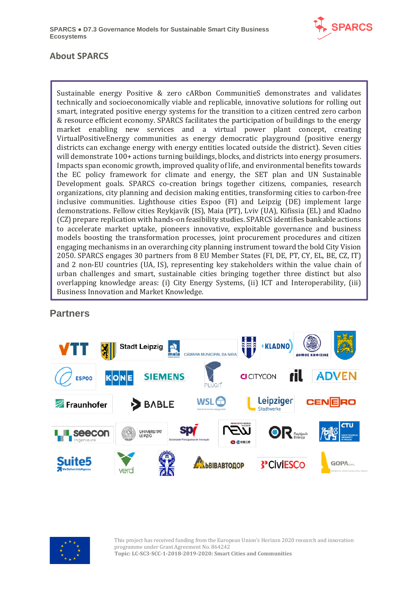

## **About SPARCS**

Sustainable energy Positive & zero cARbon CommunitieS demonstrates and validates technically and socioeconomically viable and replicable, innovative solutions for rolling out smart, integrated positive energy systems for the transition to a citizen centred zero carbon & resource efficient economy. SPARCS facilitates the participation of buildings to the energy market enabling new services and a virtual power plant concept, creating VirtualPositiveEnergy communities as energy democratic playground (positive energy districts can exchange energy with energy entities located outside the district). Seven cities will demonstrate 100+ actions turning buildings, blocks, and districts into energy prosumers. Impacts span economic growth, improved quality of life, and environmental benefits towards the EC policy framework for climate and energy, the SET plan and UN Sustainable Development goals. SPARCS co-creation brings together citizens, companies, research organizations, city planning and decision making entities, transforming cities to carbon-free inclusive communities. Lighthouse cities Espoo (FI) and Leipzig (DE) implement large demonstrations. Fellow cities Reykjavik (IS), Maia (PT), Lviv (UA), Kifissia (EL) and Kladno (CZ) prepare replication with hands-on feasibility studies. SPARCS identifies bankable actions to accelerate market uptake, pioneers innovative, exploitable governance and business models boosting the transformation processes, joint procurement procedures and citizen engaging mechanisms in an overarching city planning instrument toward the bold City Vision 2050. SPARCS engages 30 partners from 8 EU Member States (FI, DE, PT, CY, EL, BE, CZ, IT) and 2 non-EU countries (UA, IS), representing key stakeholders within the value chain of urban challenges and smart, sustainable cities bringing together three distinct but also overlapping knowledge areas: (i) City Energy Systems, (ii) ICT and Interoperability, (iii) Business Innovation and Market Knowledge.

## **Partners**





This project has received funding from the European Union's Horizon 2020 research and innovation programme under Grant Agreement No. 864242 **Topic: LC-SC3-SCC-1-2018-2019-2020: Smart Cities and Communities**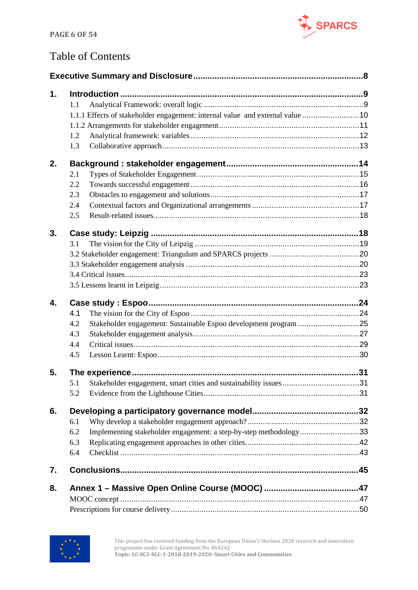

# Table of Contents

| 1. |     |                                                                               |  |
|----|-----|-------------------------------------------------------------------------------|--|
|    | 1.1 |                                                                               |  |
|    |     | 1.1.1 Effects of stakeholder engagement: internal value and external value 10 |  |
|    |     |                                                                               |  |
|    | 1.2 |                                                                               |  |
|    | 1.3 |                                                                               |  |
| 2. |     |                                                                               |  |
|    | 2.1 |                                                                               |  |
|    | 2.2 |                                                                               |  |
|    | 2.3 |                                                                               |  |
|    | 2.4 |                                                                               |  |
|    | 2.5 |                                                                               |  |
| 3. |     |                                                                               |  |
|    | 3.1 |                                                                               |  |
|    |     |                                                                               |  |
|    |     |                                                                               |  |
|    |     |                                                                               |  |
|    |     |                                                                               |  |
| 4. |     |                                                                               |  |
|    | 4.1 |                                                                               |  |
|    | 4.2 | Stakeholder engagement: Sustainable Espoo development program 25              |  |
|    | 4.3 |                                                                               |  |
|    | 4.4 |                                                                               |  |
|    | 4.5 |                                                                               |  |
| 5. |     |                                                                               |  |
|    | 5.1 |                                                                               |  |
|    | 5.2 |                                                                               |  |
| 6. |     |                                                                               |  |
|    | 6.1 |                                                                               |  |
|    | 6.2 | Implementing stakeholder engagement: a step-by-step methodology33             |  |
|    | 6.3 |                                                                               |  |
|    | 6.4 |                                                                               |  |
| 7. |     |                                                                               |  |
| 8. |     |                                                                               |  |
|    |     |                                                                               |  |
|    |     |                                                                               |  |

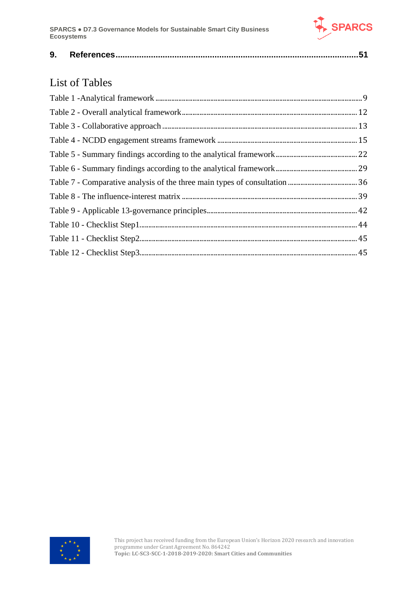

|--|--|--|--|

# List of Tables

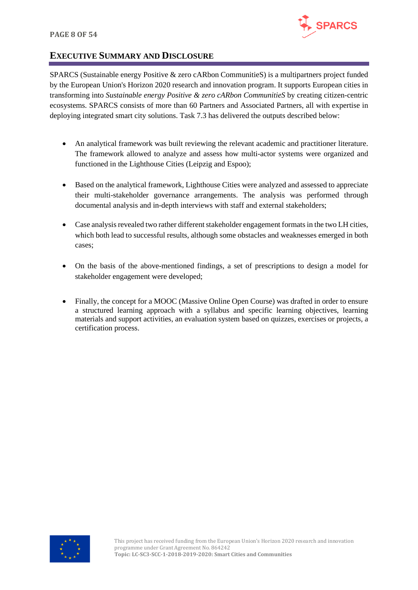

## <span id="page-7-0"></span>**EXECUTIVE SUMMARY AND DISCLOSURE**

SPARCS (Sustainable energy Positive & zero cARbon CommunitieS) is a multipartners project funded by the European Union's Horizon 2020 research and innovation program. It supports European cities in transforming into *Sustainable energy Positive & zero cARbon CommunitieS* by creating citizen-centric ecosystems. SPARCS consists of more than 60 Partners and Associated Partners, all with expertise in deploying integrated smart city solutions. Task 7.3 has delivered the outputs described below:

- An analytical framework was built reviewing the relevant academic and practitioner literature. The framework allowed to analyze and assess how multi-actor systems were organized and functioned in the Lighthouse Cities (Leipzig and Espoo);
- Based on the analytical framework, Lighthouse Cities were analyzed and assessed to appreciate their multi-stakeholder governance arrangements. The analysis was performed through documental analysis and in-depth interviews with staff and external stakeholders;
- Case analysis revealed two rather different stakeholder engagement formats in the two LH cities, which both lead to successful results, although some obstacles and weaknesses emerged in both cases;
- On the basis of the above-mentioned findings, a set of prescriptions to design a model for stakeholder engagement were developed;
- Finally, the concept for a MOOC (Massive Online Open Course) was drafted in order to ensure a structured learning approach with a syllabus and specific learning objectives, learning materials and support activities, an evaluation system based on quizzes, exercises or projects, a certification process.

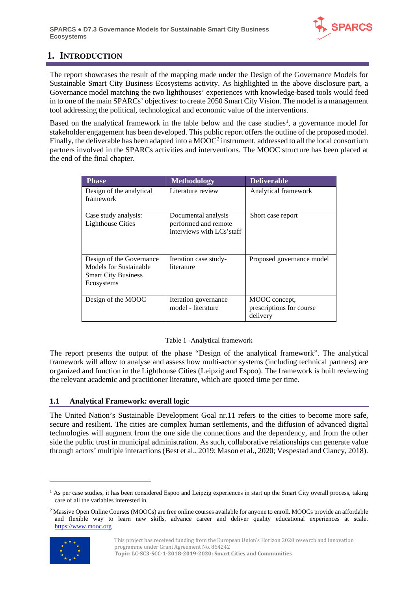

## <span id="page-8-0"></span>**1. INTRODUCTION**

The report showcases the result of the mapping made under the Design of the Governance Models for Sustainable Smart City Business Ecosystems activity. As highlighted in the above disclosure part, a Governance model matching the two lighthouses' experiences with knowledge-based tools would feed in to one of the main SPARCs' objectives: to create 2050 Smart City Vision. The model is a management tool addressing the political, technological and economic value of the interventions.

Based on the analytical framework in the table below and the case studies<sup>[1](#page-8-3)</sup>, a governance model for stakeholder engagement has been developed. This public report offers the outline of the proposed model. Finally, the deliverable has been adapted into a MOOC<sup>[2](#page-8-4)</sup> instrument, addressed to all the local consortium partners involved in the SPARCs activities and interventions. The MOOC structure has been placed at the end of the final chapter.

| <b>Phase</b>                                                                                   | <b>Methodology</b>                                                       | <b>Deliverable</b>                                    |
|------------------------------------------------------------------------------------------------|--------------------------------------------------------------------------|-------------------------------------------------------|
| Design of the analytical<br>framework                                                          | Literature review                                                        | Analytical framework                                  |
| Case study analysis:<br><b>Lighthouse Cities</b>                                               | Documental analysis<br>performed and remote<br>interviews with LCs'staff | Short case report                                     |
| Design of the Governance<br>Models for Sustainable<br><b>Smart City Business</b><br>Ecosystems | Iteration case study-<br>literature                                      | Proposed governance model                             |
| Design of the MOOC                                                                             | Iteration governance<br>model - literature                               | MOOC concept,<br>prescriptions for course<br>delivery |

#### Table 1 -Analytical framework

<span id="page-8-2"></span>The report presents the output of the phase "Design of the analytical framework". The analytical framework will allow to analyse and assess how multi-actor systems (including technical partners) are organized and function in the Lighthouse Cities (Leipzig and Espoo). The framework is built reviewing the relevant academic and practitioner literature, which are quoted time per time.

#### <span id="page-8-1"></span>**1.1 Analytical Framework: overall logic**

The United Nation's Sustainable Development Goal nr.11 refers to the cities to become more safe, secure and resilient. The cities are complex human settlements, and the diffusion of advanced digital technologies will augment from the one side the connections and the dependency, and from the other side the public trust in municipal administration. As such, collaborative relationships can generate value through actors' multiple interactions (Best et al., 2019; Mason et al., 2020; Vespestad and Clancy, 2018).

<span id="page-8-4"></span><sup>2</sup> Massive Open Online Courses (MOOCs) are free online courses available for anyone to enroll. MOOCs provide an affordable and flexible way to learn new skills, advance career and deliver quality educational experiences at scale. [https://www.mooc.org](https://www.mooc.org/)



<span id="page-8-3"></span><sup>&</sup>lt;sup>1</sup> As per case studies, it has been considered Espoo and Leipzig experiences in start up the Smart City overall process, taking care of all the variables interested in.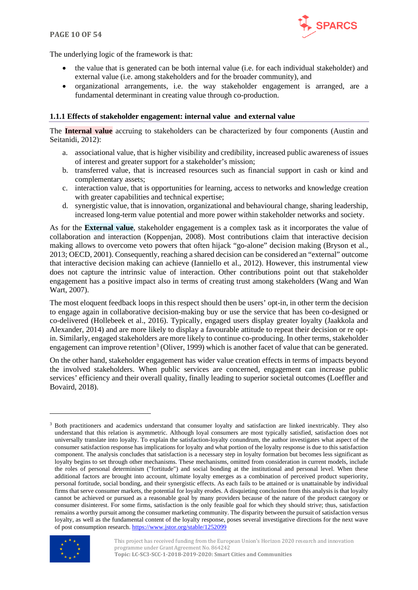

The underlying logic of the framework is that:

- the value that is generated can be both internal value (i.e. for each individual stakeholder) and external value (i.e. among stakeholders and for the broader community), and
- organizational arrangements, i.e. the way stakeholder engagement is arranged, are a fundamental determinant in creating value through co-production.

#### <span id="page-9-0"></span>**1.1.1 Effects of stakeholder engagement: internal value and external value**

The **Internal value** accruing to stakeholders can be characterized by four components (Austin and Seitanidi, 2012):

- a. associational value, that is higher visibility and credibility, increased public awareness of issues of interest and greater support for a stakeholder's mission;
- b. transferred value, that is increased resources such as financial support in cash or kind and complementary assets;
- c. interaction value, that is opportunities for learning, access to networks and knowledge creation with greater capabilities and technical expertise;
- d. synergistic value, that is innovation, organizational and behavioural change, sharing leadership, increased long-term value potential and more power within stakeholder networks and society.

As for the **External value**, stakeholder engagement is a complex task as it incorporates the value of collaboration and interaction (Koppenjan, 2008). Most contributions claim that interactive decision making allows to overcome veto powers that often hijack "go-alone" decision making (Bryson et al., 2013; OECD, 2001). Consequently, reaching a shared decision can be considered an "external" outcome that interactive decision making can achieve (Ianniello et al., 2012). However, this instrumental view does not capture the intrinsic value of interaction. Other contributions point out that stakeholder engagement has a positive impact also in terms of creating trust among stakeholders (Wang and Wan Wart, 2007).

The most eloquent feedback loops in this respect should then be users' opt-in, in other term the decision to engage again in collaborative decision-making buy or use the service that has been co-designed or co-delivered (Hollebeek et al., 2016). Typically, engaged users display greater loyalty (Jaakkola and Alexander, 2014) and are more likely to display a favourable attitude to repeat their decision or re optin. Similarly, engaged stakeholders are more likely to continue co-producing. In other terms, stakeholder engagement can improve retention<sup>[3](#page-9-1)</sup> (Oliver, 1999) which is another facet of value that can be generated.

On the other hand, stakeholder engagement has wider value creation effects in terms of impacts beyond the involved stakeholders. When public services are concerned, engagement can increase public services' efficiency and their overall quality, finally leading to superior societal outcomes (Loeffler and Bovaird, 2018).

<span id="page-9-1"></span><sup>&</sup>lt;sup>3</sup> Both practitioners and academics understand that consumer loyalty and satisfaction are linked inextricably. They also understand that this relation is asymmetric. Although loyal consumers are most typically satisfied, satisfaction does not universally translate into loyalty. To explain the satisfaction-loyalty conundrum, the author investigates what aspect of the consumer satisfaction response has implications for loyalty and what portion of the loyalty response is due to this satisfaction component. The analysis concludes that satisfaction is a necessary step in loyalty formation but becomes less significant as loyalty begins to set through other mechanisms. These mechanisms, omitted from consideration in current models, include the roles of personal determinism ("fortitude") and social bonding at the institutional and personal level. When these additional factors are brought into account, ultimate loyalty emerges as a combination of perceived product superiority, personal fortitude, social bonding, and their synergistic effects. As each fails to be attained or is unattainable by individual firms that serve consumer markets, the potential for loyalty erodes. A disquieting conclusion from this analysis is that loyalty cannot be achieved or pursued as a reasonable goal by many providers because of the nature of the product category or consumer disinterest. For some firms, satisfaction is the only feasible goal for which they should strive; thus, satisfaction remains a worthy pursuit among the consumer marketing community. The disparity between the pursuit of satisfaction versus loyalty, as well as the fundamental content of the loyalty response, poses several investigative directions for the next wave of post consumption research.<https://www.jstor.org/stable/1252099>



This project has received funding from the European Union's Horizon 2020 research and innovation programme under Grant Agreement No. 864242 **Topic: LC-SC3-SCC-1-2018-2019-2020: Smart Cities and Communities**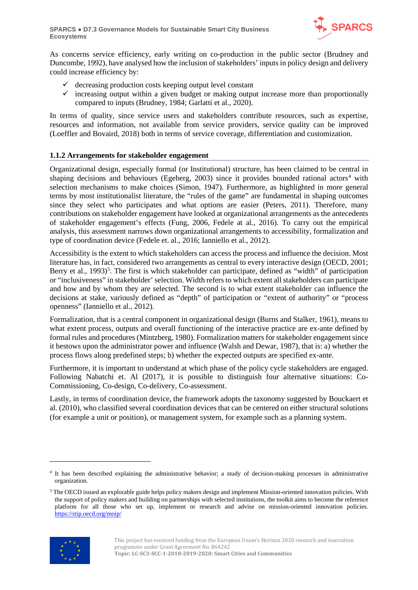

As concerns service efficiency, early writing on co-production in the public sector (Brudney and Duncombe, 1992), have analysed how the inclusion of stakeholders' inputs in policy design and delivery could increase efficiency by:

- $\checkmark$  decreasing production costs keeping output level constant
- $\checkmark$  increasing output within a given budget or making output increase more than proportionally compared to inputs (Brudney, 1984; Garlatti et al., 2020).

In terms of quality, since service users and stakeholders contribute resources, such as expertise, resources and information, not available from service providers, service quality can be improved (Loeffler and Bovaird, 2018) both in terms of service coverage, differentiation and customization.

#### <span id="page-10-0"></span>**1.1.2 Arrangements for stakeholder engagement**

Organizational design, especially formal (or Institutional) structure, has been claimed to be central in shaping decisions and behaviours (Egeberg, 2003) since it provides bounded rational actors<sup>[4](#page-10-1)</sup> with selection mechanisms to make choices (Simon, 1947). Furthermore, as highlighted in more general terms by most institutionalist literature, the "rules of the game" are fundamental in shaping outcomes since they select who participates and what options are easier (Peters, 2011). Therefore, many contributions on stakeholder engagement have looked at organizational arrangements as the antecedents of stakeholder engagement's effects (Fung, 2006, Fedele at al., 2016). To carry out the empirical analysis, this assessment narrows down organizational arrangements to accessibility, formalization and type of coordination device (Fedele et. al., 2016; Ianniello et al., 2012).

Accessibility is the extent to which stakeholders can access the process and influence the decision. Most literature has, in fact, considered two arrangements as central to every interactive design (OECD, 2001; Berry et al., 1993)<sup>[5](#page-10-2)</sup>. The first is which stakeholder can participate, defined as "width" of participation or "inclusiveness" in stakeholder' selection. Width refers to which extent all stakeholders can participate and how and by whom they are selected. The second is to what extent stakeholder can influence the decisions at stake, variously defined as "depth" of participation or "extent of authority" or "process openness" (Ianniello et al., 2012).

Formalization, that is a central component in organizational design (Burns and Stalker, 1961), means to what extent process, outputs and overall functioning of the interactive practice are ex-ante defined by formal rules and procedures (Mintzberg, 1980). Formalization matters for stakeholder engagement since it bestows upon the administrator power and influence (Walsh and Dewar, 1987), that is: a) whether the process flows along predefined steps; b) whether the expected outputs are specified ex-ante.

Furthermore, it is important to understand at which phase of the policy cycle stakeholders are engaged. Following Nabatchi et. Al (2017), it is possible to distinguish four alternative situations: Co-Commissioning, Co-design, Co-delivery, Co-assessment.

Lastly, in terms of coordination device, the framework adopts the taxonomy suggested by Bouckaert et al. (2010), who classified several coordination devices that can be centered on either structural solutions (for example a unit or position), or management system, for example such as a planning system.

<span id="page-10-2"></span><sup>5</sup> The OECD issued an explorable guide helps policy makers design and implement Mission-oriented innovation policies. With the support of policy makers and building on partnerships with selected institutions, the toolkit aims to become the reference platform for all those who set up, implement or research and advise on mission-oriented innovation policies. <https://stip.oecd.org/moip/>



<span id="page-10-1"></span><sup>4</sup> It has been described explaining the administrative behavior; a study of decision-making processes in administrative organization.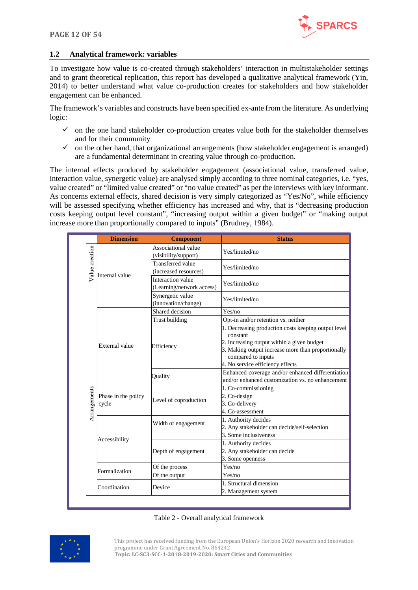

#### <span id="page-11-0"></span>**1.2 Analytical framework: variables**

To investigate how value is co-created through stakeholders' interaction in multistakeholder settings and to grant theoretical replication, this report has developed a qualitative analytical framework (Yin, 2014) to better understand what value co-production creates for stakeholders and how stakeholder engagement can be enhanced.

The framework's variables and constructs have been specified ex-ante from the literature. As underlying logic:

- $\checkmark$  on the one hand stakeholder co-production creates value both for the stakeholder themselves and for their community
- $\checkmark$  on the other hand, that organizational arrangements (how stakeholder engagement is arranged) are a fundamental determinant in creating value through co-production.

The internal effects produced by stakeholder engagement (associational value, transferred value, interaction value, synergetic value) are analysed simply according to three nominal categories, i.e. "yes, value created" or "limited value created" or "no value created" as per the interviews with key informant. As concerns external effects, shared decision is very simply categorized as "Yes/No", while efficiency will be assessed specifying whether efficiency has increased and why, that is "decreasing production costs keeping output level constant", "increasing output within a given budget" or "making output increase more than proportionally compared to inputs" (Brudney, 1984).

|                | <b>Dimension</b>             | <b>Component</b>                                  | <b>Status</b>                                                                                                                                                                                                                 |
|----------------|------------------------------|---------------------------------------------------|-------------------------------------------------------------------------------------------------------------------------------------------------------------------------------------------------------------------------------|
|                | Internal value               | Associational value<br>(visibility/support)       | Yes/limited/no                                                                                                                                                                                                                |
| Value creation |                              | <b>Transferred</b> value<br>(increased resources) | Yes/limited/no                                                                                                                                                                                                                |
|                |                              | Interaction value<br>(Learning/network access)    | Yes/limited/no                                                                                                                                                                                                                |
|                |                              | Synergetic value<br>(innovation/change)           | Yes/limited/no                                                                                                                                                                                                                |
|                |                              | Shared decision                                   | Yes/no                                                                                                                                                                                                                        |
|                |                              | Trust building                                    | Opt-in and/or retention vs. neither                                                                                                                                                                                           |
|                | External value               | Efficiency                                        | 1. Decreasing production costs keeping output level<br>constant<br>2. Increasing output within a given budget<br>3. Making output increase more than proportionally<br>compared to inputs<br>4. No service efficiency effects |
|                |                              | Quality                                           | Enhanced coverage and/or enhanced differentiation<br>and/or enhanced customization vs. no enhancement                                                                                                                         |
| Arrangements   | Phase in the policy<br>cycle | Level of coproduction                             | 1. Co-commissioning<br>2. Co-design<br>3. Co-delivery<br>4. Co-assessment                                                                                                                                                     |
|                | Accessibility                | Width of engagement                               | 1. Authority decides<br>2. Any stakeholder can decide/self-selection<br>3. Some inclusiveness                                                                                                                                 |
|                |                              | Depth of engagement                               | 1. Authority decides<br>2. Any stakeholder can decide<br>3. Some openness                                                                                                                                                     |
|                | Formalization                | Of the process                                    | Yes/no                                                                                                                                                                                                                        |
|                |                              | Of the output                                     | Yes/no                                                                                                                                                                                                                        |
|                | Coordination                 | Device                                            | 1. Structural dimension<br>2. Management system                                                                                                                                                                               |

#### Table 2 - Overall analytical framework

<span id="page-11-1"></span>

This project has received funding from the European Union's Horizon 2020 research and innovation programme under Grant Agreement No. 864242

**Topic: LC-SC3-SCC-1-2018-2019-2020: Smart Cities and Communities**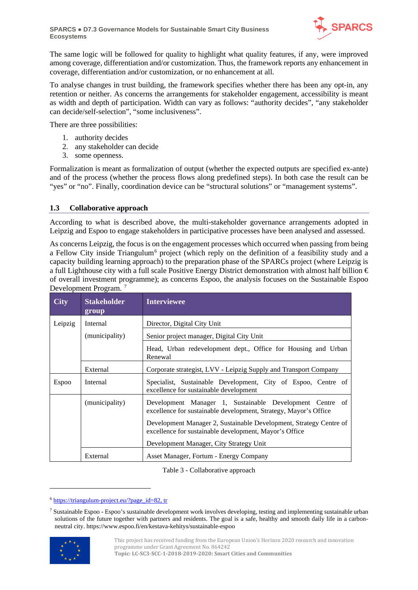

The same logic will be followed for quality to highlight what quality features, if any, were improved among coverage, differentiation and/or customization. Thus, the framework reports any enhancement in coverage, differentiation and/or customization, or no enhancement at all.

To analyse changes in trust building, the framework specifies whether there has been any opt-in, any retention or neither. As concerns the arrangements for stakeholder engagement, accessibility is meant as width and depth of participation. Width can vary as follows: "authority decides", "any stakeholder can decide/self-selection", "some inclusiveness".

There are three possibilities:

- 1. authority decides
- 2. any stakeholder can decide
- 3. some openness.

Formalization is meant as formalization of output (whether the expected outputs are specified ex-ante) and of the process (whether the process flows along predefined steps). In both case the result can be "yes" or "no". Finally, coordination device can be "structural solutions" or "management systems".

#### <span id="page-12-0"></span>**1.3 Collaborative approach**

According to what is described above, the multi-stakeholder governance arrangements adopted in Leipzig and Espoo to engage stakeholders in participative processes have been analysed and assessed.

As concerns Leipzig, the focus is on the engagement processes which occurred when passing from being a Fellow City inside Triangulum<sup>[6](#page-12-2)</sup> project (which reply on the definition of a feasibility study and a capacity building learning approach) to the preparation phase of the SPARCs project (where Leipzig is a full Lighthouse city with a full scale Positive Energy District demonstration with almost half billion € of overall investment programme); as concerns Espoo, the analysis focuses on the Sustainable Espoo Development Program. [7](#page-12-3)

| <b>City</b>  | <b>Stakeholder</b><br>group | <b>Interviewee</b>                                                                                                           |  |
|--------------|-----------------------------|------------------------------------------------------------------------------------------------------------------------------|--|
| Leipzig      | Internal                    | Director, Digital City Unit                                                                                                  |  |
|              | (municipality)              | Senior project manager, Digital City Unit                                                                                    |  |
|              |                             | Head, Urban redevelopment dept., Office for Housing and Urban<br>Renewal                                                     |  |
|              | External                    | Corporate strategist, LVV - Leipzig Supply and Transport Company                                                             |  |
| <b>Espoo</b> | Internal                    | Specialist, Sustainable Development, City of Espoo, Centre of<br>excellence for sustainable development                      |  |
|              | (municipality)              | Development Manager 1, Sustainable Development Centre of<br>excellence for sustainable development, Strategy, Mayor's Office |  |
|              |                             | Development Manager 2, Sustainable Development, Strategy Centre of<br>excellence for sustainable development, Mayor's Office |  |
|              |                             | Development Manager, City Strategy Unit                                                                                      |  |
|              | External                    | Asset Manager, Fortum - Energy Company                                                                                       |  |

Table 3 - Collaborative approach

<span id="page-12-2"></span><span id="page-12-1"></span><sup>6</sup> [https://triangulum-project.eu/?page\\_id=82,](https://triangulum-project.eu/?page_id=82) tr

<span id="page-12-3"></span><sup>7</sup> Sustainable Espoo - Espoo's sustainable development work involves developing, testing and implementing sustainable urban solutions of the future together with partners and residents. The goal is a safe, healthy and smooth daily life in a carbonneutral city. https://www.espoo.fi/en/kestava-kehitys/sustainable-espoo

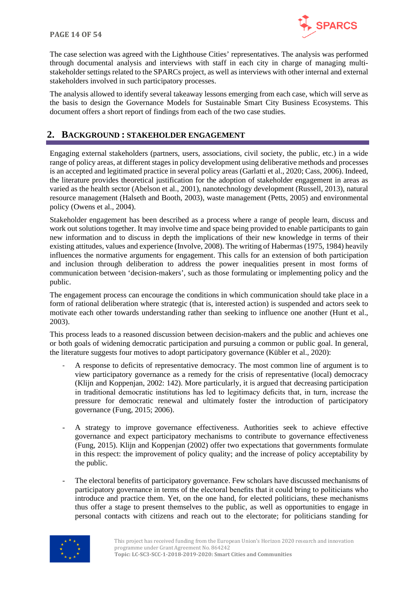

The case selection was agreed with the Lighthouse Cities' representatives. The analysis was performed through documental analysis and interviews with staff in each city in charge of managing multistakeholder settings related to the SPARCs project, as well as interviews with other internal and external stakeholders involved in such participatory processes.

The analysis allowed to identify several takeaway lessons emerging from each case, which will serve as the basis to design the Governance Models for Sustainable Smart City Business Ecosystems. This document offers a short report of findings from each of the two case studies.

## <span id="page-13-0"></span>**2. BACKGROUND : STAKEHOLDER ENGAGEMENT**

Engaging external stakeholders (partners, users, associations, civil society, the public, etc.) in a wide range of policy areas, at different stages in policy development using deliberative methods and processes is an accepted and legitimated practice in several policy areas (Garlatti et al., 2020; Cass, 2006). Indeed, the literature provides theoretical justification for the adoption of stakeholder engagement in areas as varied as the health sector (Abelson et al., 2001), nanotechnology development (Russell, 2013), natural resource management (Halseth and Booth, 2003), waste management (Petts, 2005) and environmental policy (Owens et al., 2004).

Stakeholder engagement has been described as a process where a range of people learn, discuss and work out solutions together. It may involve time and space being provided to enable participants to gain new information and to discuss in depth the implications of their new knowledge in terms of their existing attitudes, values and experience (Involve, 2008). The writing of Habermas (1975, 1984) heavily influences the normative arguments for engagement. This calls for an extension of both participation and inclusion through deliberation to address the power inequalities present in most forms of communication between 'decision-makers', such as those formulating or implementing policy and the public.

The engagement process can encourage the conditions in which communication should take place in a form of rational deliberation where strategic (that is, interested action) is suspended and actors seek to motivate each other towards understanding rather than seeking to influence one another (Hunt et al., 2003).

This process leads to a reasoned discussion between decision-makers and the public and achieves one or both goals of widening democratic participation and pursuing a common or public goal. In general, the literature suggests four motives to adopt participatory governance (Kübler et al., 2020):

- A response to deficits of representative democracy. The most common line of argument is to view participatory governance as a remedy for the crisis of representative (local) democracy (Klijn and Koppenjan, 2002: 142). More particularly, it is argued that decreasing participation in traditional democratic institutions has led to legitimacy deficits that, in turn, increase the pressure for democratic renewal and ultimately foster the introduction of participatory governance (Fung, 2015; 2006).
- A strategy to improve governance effectiveness. Authorities seek to achieve effective governance and expect participatory mechanisms to contribute to governance effectiveness (Fung, 2015). Klijn and Koppenjan (2002) offer two expectations that governments formulate in this respect: the improvement of policy quality; and the increase of policy acceptability by the public.
- The electoral benefits of participatory governance. Few scholars have discussed mechanisms of participatory governance in terms of the electoral benefits that it could bring to politicians who introduce and practice them. Yet, on the one hand, for elected politicians, these mechanisms thus offer a stage to present themselves to the public, as well as opportunities to engage in personal contacts with citizens and reach out to the electorate; for politicians standing for

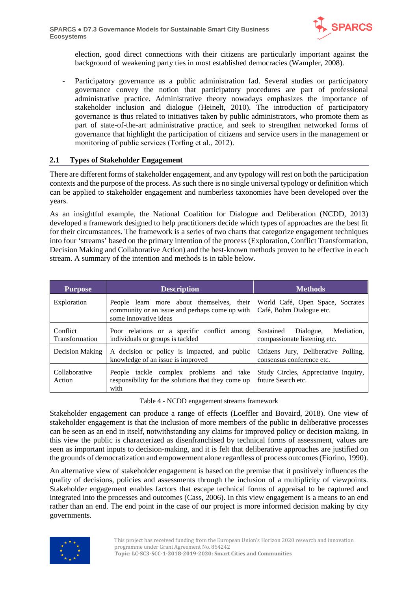

election, good direct connections with their citizens are particularly important against the background of weakening party ties in most established democracies (Wampler, 2008).

Participatory governance as a public administration fad. Several studies on participatory governance convey the notion that participatory procedures are part of professional administrative practice. Administrative theory nowadays emphasizes the importance of stakeholder inclusion and dialogue (Heinelt, 2010). The introduction of participatory governance is thus related to initiatives taken by public administrators, who promote them as part of state-of-the-art administrative practice, and seek to strengthen networked forms of governance that highlight the participation of citizens and service users in the management or monitoring of public services (Torfing et al., 2012).

#### <span id="page-14-0"></span>**2.1 Types of Stakeholder Engagement**

There are different forms of stakeholder engagement, and any typology will rest on both the participation contexts and the purpose of the process. As such there is no single universal typology or definition which can be applied to stakeholder engagement and numberless taxonomies have been developed over the years.

As an insightful example, the National Coalition for Dialogue and Deliberation (NCDD, 2013) developed a framework designed to help practitioners decide which types of approaches are the best fit for their circumstances. The framework is a series of two charts that categorize engagement techniques into four 'streams' based on the primary intention of the process (Exploration, Conflict Transformation, Decision Making and Collaborative Action) and the best-known methods proven to be effective in each stream. A summary of the intention and methods is in table below.

| <b>Description</b><br><b>Purpose</b>                                                                                                |                                                                                                       | <b>Methods</b>                                                       |
|-------------------------------------------------------------------------------------------------------------------------------------|-------------------------------------------------------------------------------------------------------|----------------------------------------------------------------------|
| Exploration<br>People learn more about themselves, their<br>community or an issue and perhaps come up with<br>some innovative ideas |                                                                                                       | World Café, Open Space, Socrates<br>Café, Bohm Dialogue etc.         |
| Conflict<br>Transformation                                                                                                          | Poor relations or a specific conflict among<br>individuals or groups is tackled                       | Sustained<br>Mediation.<br>Dialogue,<br>compassionate listening etc. |
| Decision Making                                                                                                                     | A decision or policy is impacted, and public<br>knowledge of an issue is improved                     | Citizens Jury, Deliberative Polling,<br>consensus conference etc.    |
| Collaborative<br>Action                                                                                                             | People tackle complex problems and take<br>responsibility for the solutions that they come up<br>with | Study Circles, Appreciative Inquiry,<br>future Search etc.           |

Table 4 - NCDD engagement streams framework

<span id="page-14-1"></span>Stakeholder engagement can produce a range of effects (Loeffler and Bovaird, 2018). One view of stakeholder engagement is that the inclusion of more members of the public in deliberative processes can be seen as an end in itself, notwithstanding any claims for improved policy or decision making. In this view the public is characterized as disenfranchised by technical forms of assessment, values are seen as important inputs to decision-making, and it is felt that deliberative approaches are justified on the grounds of democratization and empowerment alone regardless of process outcomes (Fiorino, 1990).

An alternative view of stakeholder engagement is based on the premise that it positively influences the quality of decisions, policies and assessments through the inclusion of a multiplicity of viewpoints. Stakeholder engagement enables factors that escape technical forms of appraisal to be captured and integrated into the processes and outcomes (Cass, 2006). In this view engagement is a means to an end rather than an end. The end point in the case of our project is more informed decision making by city governments.

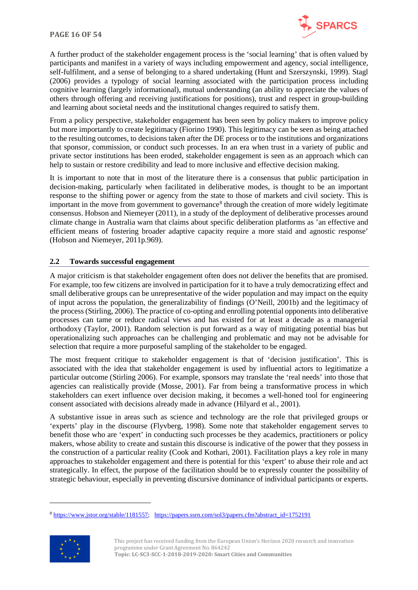

A further product of the stakeholder engagement process is the 'social learning' that is often valued by participants and manifest in a variety of ways including empowerment and agency, social intelligence, self-fulfilment, and a sense of belonging to a shared undertaking (Hunt and Szerszynski, 1999). Stagl (2006) provides a typology of social learning associated with the participation process including cognitive learning (largely informational), mutual understanding (an ability to appreciate the values of others through offering and receiving justifications for positions), trust and respect in group-building and learning about societal needs and the institutional changes required to satisfy them.

From a policy perspective, stakeholder engagement has been seen by policy makers to improve policy but more importantly to create legitimacy (Fiorino 1990). This legitimacy can be seen as being attached to the resulting outcomes, to decisions taken after the DE process or to the institutions and organizations that sponsor, commission, or conduct such processes. In an era when trust in a variety of public and private sector institutions has been eroded, stakeholder engagement is seen as an approach which can help to sustain or restore credibility and lead to more inclusive and effective decision making.

It is important to note that in most of the literature there is a consensus that public participation in decision-making, particularly when facilitated in deliberative modes, is thought to be an important response to the shifting power or agency from the state to those of markets and civil society. This is important in the move from government to governance<sup>[8](#page-15-1)</sup> through the creation of more widely legitimate consensus. Hobson and Niemeyer (2011), in a study of the deployment of deliberative processes around climate change in Australia warn that claims about specific deliberation platforms as 'an effective and efficient means of fostering broader adaptive capacity require a more staid and agnostic response' (Hobson and Niemeyer, 2011p.969).

#### <span id="page-15-0"></span>**2.2 Towards successful engagement**

A major criticism is that stakeholder engagement often does not deliver the benefits that are promised. For example, too few citizens are involved in participation for it to have a truly democratizing effect and small deliberative groups can be unrepresentative of the wider population and may impact on the equity of input across the population, the generalizability of findings (O'Neill, 2001b) and the legitimacy of the process (Stirling, 2006). The practice of co-opting and enrolling potential opponents into deliberative processes can tame or reduce radical views and has existed for at least a decade as a managerial orthodoxy (Taylor, 2001). Random selection is put forward as a way of mitigating potential bias but operationalizing such approaches can be challenging and problematic and may not be advisable for selection that require a more purposeful sampling of the stakeholder to be engaged.

The most frequent critique to stakeholder engagement is that of 'decision justification'. This is associated with the idea that stakeholder engagement is used by influential actors to legitimatize a particular outcome (Stirling 2006). For example, sponsors may translate the 'real needs' into those that agencies can realistically provide (Mosse, 2001). Far from being a transformative process in which stakeholders can exert influence over decision making, it becomes a well-honed tool for engineering consent associated with decisions already made in advance (Hilyard et al., 2001).

A substantive issue in areas such as science and technology are the role that privileged groups or 'experts' play in the discourse (Flyvberg, 1998). Some note that stakeholder engagement serves to benefit those who are 'expert' in conducting such processes be they academics, practitioners or policy makers, whose ability to create and sustain this discourse is indicative of the power that they possess in the construction of a particular reality (Cook and Kothari, 2001). Facilitation plays a key role in many approaches to stakeholder engagement and there is potential for this 'expert' to abuse their role and act strategically. In effect, the purpose of the facilitation should be to expressly counter the possibility of strategic behaviour, especially in preventing discursive dominance of individual participants or experts.

<span id="page-15-1"></span><sup>8</sup> [https://www.jstor.org/stable/1181557;](https://www.jstor.org/stable/1181557) [https://papers.ssrn.com/sol3/papers.cfm?abstract\\_id=1752191](https://papers.ssrn.com/sol3/papers.cfm?abstract_id=1752191)



This project has received funding from the European Union's Horizon 2020 research and innovation programme under Grant Agreement No. 864242 **Topic: LC-SC3-SCC-1-2018-2019-2020: Smart Cities and Communities**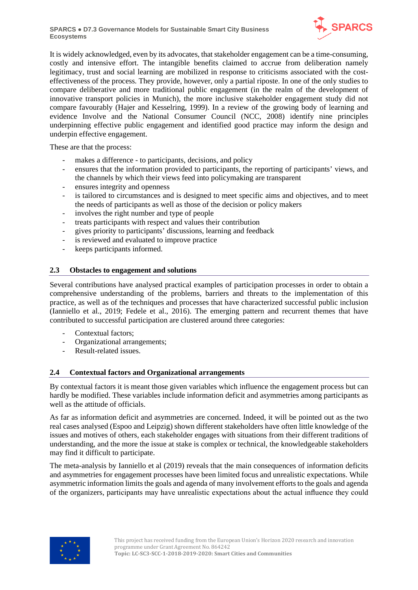

It is widely acknowledged, even by its advocates, that stakeholder engagement can be a time-consuming, costly and intensive effort. The intangible benefits claimed to accrue from deliberation namely legitimacy, trust and social learning are mobilized in response to criticisms associated with the costeffectiveness of the process. They provide, however, only a partial riposte. In one of the only studies to compare deliberative and more traditional public engagement (in the realm of the development of innovative transport policies in Munich), the more inclusive stakeholder engagement study did not compare favourably (Hajer and Kesselring, 1999). In a review of the growing body of learning and evidence Involve and the National Consumer Council (NCC, 2008) identify nine principles underpinning effective public engagement and identified good practice may inform the design and underpin effective engagement.

These are that the process:

- makes a difference to participants, decisions, and policy
- ensures that the information provided to participants, the reporting of participants' views, and the channels by which their views feed into policymaking are transparent
- ensures integrity and openness
- is tailored to circumstances and is designed to meet specific aims and objectives, and to meet the needs of participants as well as those of the decision or policy makers
- involves the right number and type of people
- treats participants with respect and values their contribution
- gives priority to participants' discussions, learning and feedback
- is reviewed and evaluated to improve practice
- keeps participants informed.

#### <span id="page-16-0"></span>**2.3 Obstacles to engagement and solutions**

Several contributions have analysed practical examples of participation processes in order to obtain a comprehensive understanding of the problems, barriers and threats to the implementation of this practice, as well as of the techniques and processes that have characterized successful public inclusion (Ianniello et al., 2019; Fedele et al., 2016). The emerging pattern and recurrent themes that have contributed to successful participation are clustered around three categories:

- Contextual factors;
- Organizational arrangements;
- Result-related issues.

#### <span id="page-16-1"></span>**2.4 Contextual factors and Organizational arrangements**

By contextual factors it is meant those given variables which influence the engagement process but can hardly be modified. These variables include information deficit and asymmetries among participants as well as the attitude of officials.

As far as information deficit and asymmetries are concerned. Indeed, it will be pointed out as the two real cases analysed (Espoo and Leipzig) shown different stakeholders have often little knowledge of the issues and motives of others, each stakeholder engages with situations from their different traditions of understanding, and the more the issue at stake is complex or technical, the knowledgeable stakeholders may find it difficult to participate.

The meta-analysis by Ianniello et al (2019) reveals that the main consequences of information deficits and asymmetries for engagement processes have been limited focus and unrealistic expectations. While asymmetric information limits the goals and agenda of many involvement efforts to the goals and agenda of the organizers, participants may have unrealistic expectations about the actual influence they could

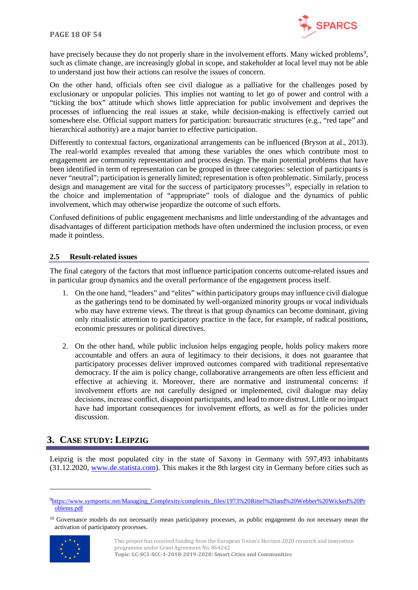

have precisely because they do not properly share in the involvement efforts. Many wicked problems<sup>[9](#page-17-2)</sup>, such as climate change, are increasingly global in scope, and stakeholder at local level may not be able to understand just how their actions can resolve the issues of concern.

On the other hand, officials often see civil dialogue as a palliative for the challenges posed by exclusionary or unpopular policies. This implies not wanting to let go of power and control with a "ticking the box" attitude which shows little appreciation for public involvement and deprives the processes of influencing the real issues at stake, while decision-making is effectively carried out somewhere else. Official support matters for participation: bureaucratic structures (e.g., "red tape" and hierarchical authority) are a major barrier to effective participation.

Differently to contextual factors, organizational arrangements can be influenced (Bryson at al., 2013). The real-world examples revealed that among these variables the ones which contribute most to engagement are community representation and process design. The main potential problems that have been identified in term of representation can be grouped in three categories: selection of participants is never "neutral"; participation is generally limited; representation is often problematic. Similarly, process design and management are vital for the success of participatory processes<sup>[10](#page-17-3)</sup>, especially in relation to the choice and implementation of "appropriate" tools of dialogue and the dynamics of public involvement, which may otherwise jeopardize the outcome of such efforts.

Confused definitions of public engagement mechanisms and little understanding of the advantages and disadvantages of different participation methods have often undermined the inclusion process, or even made it pointless.

#### <span id="page-17-0"></span>**2.5 Result-related issues**

The final category of the factors that most influence participation concerns outcome-related issues and in particular group dynamics and the overall performance of the engagement process itself.

- 1. On the one hand, "leaders" and "elites" within participatory groups may influence civil dialogue as the gatherings tend to be dominated by well-organized minority groups or vocal individuals who may have extreme views. The threat is that group dynamics can become dominant, giving only ritualistic attention to participatory practice in the face, for example, of radical positions, economic pressures or political directives.
- 2. On the other hand, while public inclusion helps engaging people, holds policy makers more accountable and offers an aura of legitimacy to their decisions, it does not guarantee that participatory processes deliver improved outcomes compared with traditional representative democracy. If the aim is policy change, collaborative arrangements are often less efficient and effective at achieving it. Moreover, there are normative and instrumental concerns: if involvement efforts are not carefully designed or implemented, civil dialogue may delay decisions, increase conflict, disappoint participants, and lead to more distrust. Little or no impact have had important consequences for involvement efforts, as well as for the policies under discussion.

## <span id="page-17-1"></span>**3. CASE STUDY: LEIPZIG**

Leipzig is the most populated city in the state of Saxony in Germany with 597,493 inhabitants (31.12.2020, [www.de.statista.com\)](http://www.de.statista.com/). This makes it the 8th largest city in Germany before cities such as

<span id="page-17-3"></span> $10$  Governance models do not necessarily mean participatory processes, as public engagement do not necessary mean the activation of participatory processes.



This project has received funding from the European Union's Horizon 2020 research and innovation programme under Grant Agreement No. 864242 **Topic: LC-SC3-SCC-1-2018-2019-2020: Smart Cities and Communities**

<span id="page-17-2"></span>[<sup>9</sup>https://www.sympoetic.net/Managing\\_Complexity/complexity\\_files/1973%20Rittel%20and%20Webber%20Wicked%20Pr](https://www.sympoetic.net/Managing_Complexity/complexity_files/1973%20Rittel%20and%20Webber%20Wicked%20Problems.pdf) [oblems.pdf](https://www.sympoetic.net/Managing_Complexity/complexity_files/1973%20Rittel%20and%20Webber%20Wicked%20Problems.pdf)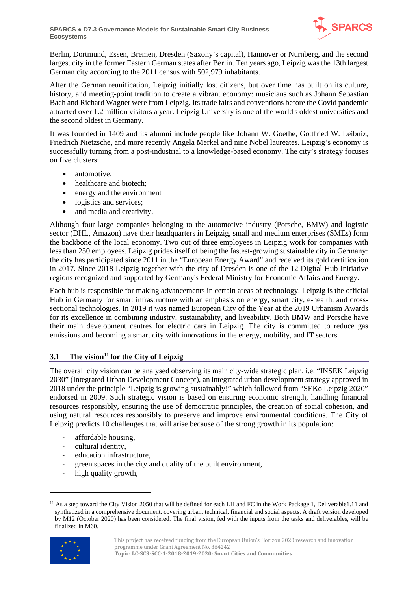

Berlin, Dortmund, Essen, Bremen, Dresden (Saxony's capital), Hannover or Nurnberg, and the second largest city in the former Eastern German states after Berlin. Ten years ago, Leipzig was the 13th largest German city according to the 2011 census with 502,979 inhabitants.

After the German reunification, Leipzig initially lost citizens, but over time has built on its culture, history, and meeting-point tradition to create a vibrant economy: musicians such as Johann Sebastian Bach and Richard Wagner were from Leipzig. Its trade fairs and conventions before the Covid pandemic attracted over 1.2 million visitors a year. Leipzig University is one of the world's oldest universities and the second oldest in Germany.

It was founded in 1409 and its alumni include people like Johann W. Goethe, Gottfried W. Leibniz, Friedrich Nietzsche, and more recently Angela Merkel and nine Nobel laureates. Leipzig's economy is successfully turning from a post-industrial to a knowledge-based economy. The city's strategy focuses on five clusters:

- automotive;
- healthcare and biotech;
- energy and the environment
- logistics and services;
- and media and creativity.

Although four large companies belonging to the automotive industry (Porsche, BMW) and logistic sector (DHL, Amazon) have their headquarters in Leipzig, small and medium enterprises (SMEs) form the backbone of the local economy. Two out of three employees in Leipzig work for companies with less than 250 employees. Leipzig prides itself of being the fastest-growing sustainable city in Germany: the city has participated since 2011 in the "European Energy Award" and received its gold certification in 2017. Since 2018 Leipzig together with the city of Dresden is one of the 12 Digital Hub Initiative regions recognized and supported by Germany's Federal Ministry for Economic Affairs and Energy.

Each hub is responsible for making advancements in certain areas of technology. Leipzig is the official Hub in Germany for smart infrastructure with an emphasis on energy, smart city, e-health, and crosssectional technologies. In 2019 it was named European City of the Year at the 2019 Urbanism Awards for its excellence in combining industry, sustainability, and liveability. Both BMW and Porsche have their main development centres for electric cars in Leipzig. The city is committed to reduce gas emissions and becoming a smart city with innovations in the energy, mobility, and IT sectors.

#### <span id="page-18-0"></span>**3.1** The vision<sup>11</sup> for the City of Leipzig

The overall city vision can be analysed observing its main city-wide strategic plan, i.e. "INSEK Leipzig 2030" (Integrated Urban Development Concept), an integrated urban development strategy approved in 2018 under the principle "Leipzig is growing sustainably!" which followed from "SEKo Leipzig 2020" endorsed in 2009. Such strategic vision is based on ensuring economic strength, handling financial resources responsibly, ensuring the use of democratic principles, the creation of social cohesion, and using natural resources responsibly to preserve and improve environmental conditions. The City of Leipzig predicts 10 challenges that will arise because of the strong growth in its population:

- affordable housing,
- cultural identity,
- education infrastructure,
- green spaces in the city and quality of the built environment,
- high quality growth,

<span id="page-18-1"></span><sup>&</sup>lt;sup>11</sup> As a step toward the City Vision 2050 that will be defined for each LH and FC in the Work Package 1, Deliverable1.11 and synthetized in a comprehensive document, covering urban, technical, financial and social aspects. A draft version developed by M12 (October 2020) has been considered. The final vision, fed with the inputs from the tasks and deliverables, will be finalized in M60.

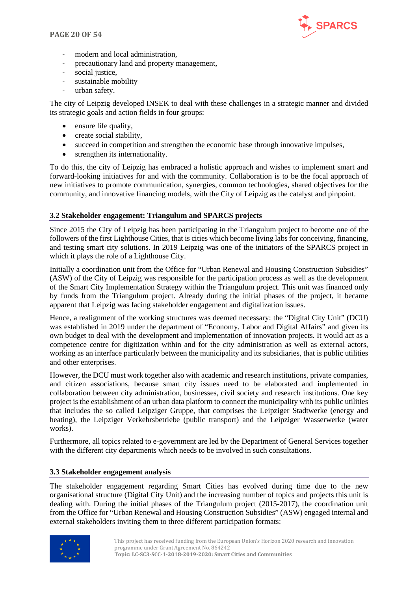

- modern and local administration,
- precautionary land and property management,
- social justice.
- sustainable mobility
- urban safety.

The city of Leipzig developed INSEK to deal with these challenges in a strategic manner and divided its strategic goals and action fields in four groups:

- ensure life quality,
- create social stability,
- succeed in competition and strengthen the economic base through innovative impulses,
- strengthen its internationality.

To do this, the city of Leipzig has embraced a holistic approach and wishes to implement smart and forward-looking initiatives for and with the community. Collaboration is to be the focal approach of new initiatives to promote communication, synergies, common technologies, shared objectives for the community, and innovative financing models, with the City of Leipzig as the catalyst and pinpoint.

#### <span id="page-19-0"></span>**3.2 Stakeholder engagement: Triangulum and SPARCS projects**

Since 2015 the City of Leipzig has been participating in the Triangulum project to become one of the followers of the first Lighthouse Cities, that is cities which become living labs for conceiving, financing, and testing smart city solutions. In 2019 Leipzig was one of the initiators of the SPARCS project in which it plays the role of a Lighthouse City.

Initially a coordination unit from the Office for "Urban Renewal and Housing Construction Subsidies" (ASW) of the City of Leipzig was responsible for the participation process as well as the development of the Smart City Implementation Strategy within the Triangulum project. This unit was financed only by funds from the Triangulum project. Already during the initial phases of the project, it became apparent that Leipzig was facing stakeholder engagement and digitalization issues.

Hence, a realignment of the working structures was deemed necessary: the "Digital City Unit" (DCU) was established in 2019 under the department of "Economy, Labor and Digital Affairs" and given its own budget to deal with the development and implementation of innovation projects. It would act as a competence centre for digitization within and for the city administration as well as external actors, working as an interface particularly between the municipality and its subsidiaries, that is public utilities and other enterprises.

However, the DCU must work together also with academic and research institutions, private companies, and citizen associations, because smart city issues need to be elaborated and implemented in collaboration between city administration, businesses, civil society and research institutions. One key project is the establishment of an urban data platform to connect the municipality with its public utilities that includes the so called Leipziger Gruppe, that comprises the Leipziger Stadtwerke (energy and heating), the Leipziger Verkehrsbetriebe (public transport) and the Leipziger Wasserwerke (water works).

Furthermore, all topics related to e-government are led by the Department of General Services together with the different city departments which needs to be involved in such consultations.

#### <span id="page-19-1"></span>**3.3 Stakeholder engagement analysis**

The stakeholder engagement regarding Smart Cities has evolved during time due to the new organisational structure (Digital City Unit) and the increasing number of topics and projects this unit is dealing with. During the initial phases of the Triangulum project (2015-2017), the coordination unit from the Office for "Urban Renewal and Housing Construction Subsidies" (ASW) engaged internal and external stakeholders inviting them to three different participation formats:

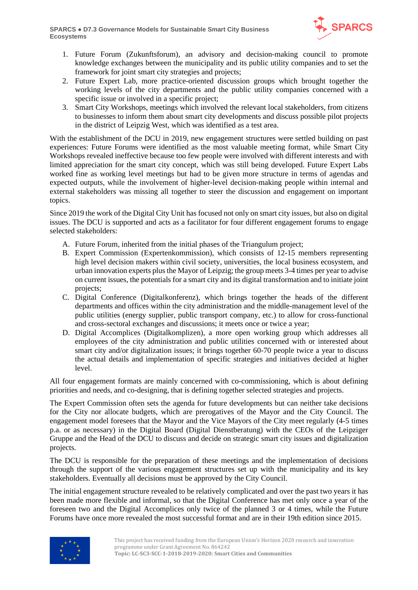

- 1. Future Forum (Zukunftsforum), an advisory and decision-making council to promote knowledge exchanges between the municipality and its public utility companies and to set the framework for joint smart city strategies and projects;
- 2. Future Expert Lab, more practice-oriented discussion groups which brought together the working levels of the city departments and the public utility companies concerned with a specific issue or involved in a specific project;
- 3. Smart City Workshops, meetings which involved the relevant local stakeholders, from citizens to businesses to inform them about smart city developments and discuss possible pilot projects in the district of Leipzig West, which was identified as a test area.

With the establishment of the DCU in 2019, new engagement structures were settled building on past experiences: Future Forums were identified as the most valuable meeting format, while Smart City Workshops revealed ineffective because too few people were involved with different interests and with limited appreciation for the smart city concept, which was still being developed. Future Expert Labs worked fine as working level meetings but had to be given more structure in terms of agendas and expected outputs, while the involvement of higher-level decision-making people within internal and external stakeholders was missing all together to steer the discussion and engagement on important topics.

Since 2019 the work of the Digital City Unit has focused not only on smart city issues, but also on digital issues. The DCU is supported and acts as a facilitator for four different engagement forums to engage selected stakeholders:

- A. Future Forum, inherited from the initial phases of the Triangulum project;
- B. Expert Commission (Expertenkommission), which consists of 12-15 members representing high level decision makers within civil society, universities, the local business ecosystem, and urban innovation experts plus the Mayor of Leipzig; the group meets 3-4 times per year to advise on current issues, the potentials for a smart city and its digital transformation and to initiate joint projects;
- C. Digital Conference (Digitalkonferenz), which brings together the heads of the different departments and offices within the city administration and the middle-management level of the public utilities (energy supplier, public transport company, etc.) to allow for cross-functional and cross-sectoral exchanges and discussions; it meets once or twice a year;
- D. Digital Accomplices (Digitalkomplizen), a more open working group which addresses all employees of the city administration and public utilities concerned with or interested about smart city and/or digitalization issues; it brings together 60-70 people twice a year to discuss the actual details and implementation of specific strategies and initiatives decided at higher level.

All four engagement formats are mainly concerned with co-commissioning, which is about defining priorities and needs, and co-designing, that is defining together selected strategies and projects.

The Expert Commission often sets the agenda for future developments but can neither take decisions for the City nor allocate budgets, which are prerogatives of the Mayor and the City Council. The engagement model foresees that the Mayor and the Vice Mayors of the City meet regularly (4-5 times p.a. or as necessary) in the Digital Board (Digital Dienstberatung) with the CEOs of the Leipziger Gruppe and the Head of the DCU to discuss and decide on strategic smart city issues and digitalization projects.

The DCU is responsible for the preparation of these meetings and the implementation of decisions through the support of the various engagement structures set up with the municipality and its key stakeholders. Eventually all decisions must be approved by the City Council.

The initial engagement structure revealed to be relatively complicated and over the past two years it has been made more flexible and informal, so that the Digital Conference has met only once a year of the foreseen two and the Digital Accomplices only twice of the planned 3 or 4 times, while the Future Forums have once more revealed the most successful format and are in their 19th edition since 2015.

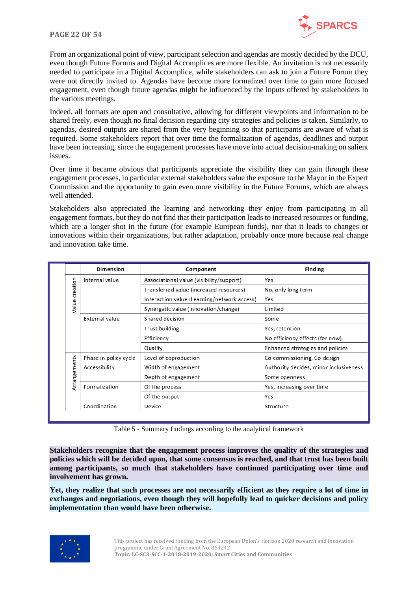#### **PAGE 22 OF 54**



From an organizational point of view, participant selection and agendas are mostly decided by the DCU, even though Future Forums and Digital Accomplices are more flexible. An invitation is not necessarily needed to participate in a Digital Accomplice, while stakeholders can ask to join a Future Forum they were not directly invited to. Agendas have become more formalized over time to gain more focused engagement, even though future agendas might be influenced by the inputs offered by stakeholders in the various meetings.

Indeed, all formats are open and consultative, allowing for different viewpoints and information to be shared freely, even though no final decision regarding city strategies and policies is taken. Similarly, to agendas, desired outputs are shared from the very beginning so that participants are aware of what is required. Some stakeholders report that over time the formalization of agendas, deadlines and output have been increasing, since the engagement processes have move into actual decision-making on salient issues.

Over time it became obvious that participants appreciate the visibility they can gain through these engagement processes, in particular external stakeholders value the exposure to the Mayor in the Expert Commission and the opportunity to gain even more visibility in the Future Forums, which are always well attended.

Stakeholders also appreciated the learning and networking they enjoy from participating in all engagement formats, but they do not find that their participation leads to increased resources or funding, which are a longer shot in the future (for example European funds), nor that it leads to changes or innovations within their organizations, but rather adaptation, probably once more because real change and innovation take time.

|              | <b>Dimension</b>      | Component                                   | <b>Finding</b>                         |
|--------------|-----------------------|---------------------------------------------|----------------------------------------|
|              | Internal value        | Associational value (visibility/support)    | Yes                                    |
| creation     |                       | Transferred value (increased resources)     | No, only long term                     |
|              |                       | Interaction value (Learning/network access) | Yes                                    |
| Value        |                       | Synergetic value (innovation/change)        | Limited                                |
|              | External value        | Shared decision                             | Some                                   |
|              |                       | Trust building                              | Yes, retention                         |
|              |                       | Efficiency                                  | No efficiency effects (for now)        |
|              |                       | Quality                                     | Enhanced strategies and policies       |
|              | Phase in policy cycle | Level of coproduction                       | Co-commissioning, Co-design            |
| Arrangements | Accessibility         | Width of engagement                         | Authority decides, minor inclusiveness |
|              |                       | Depth of engagement                         | Some openness                          |
|              | Formalization         | Of the process                              | Yes, increasing over time              |
|              |                       | Of the output                               | Yes                                    |
|              | Coordination          | Device                                      | Structure                              |
|              |                       |                                             |                                        |

Table 5 - Summary findings according to the analytical framework

<span id="page-21-0"></span>**Stakeholders recognize that the engagement process improves the quality of the strategies and policies which will be decided upon, that some consensus is reached, and that trust has been built among participants, so much that stakeholders have continued participating over time and involvement has grown.** 

**Yet, they realize that such processes are not necessarily efficient as they require a lot of time in exchanges and negotiations, even though they will hopefully lead to quicker decisions and policy implementation than would have been otherwise.** 

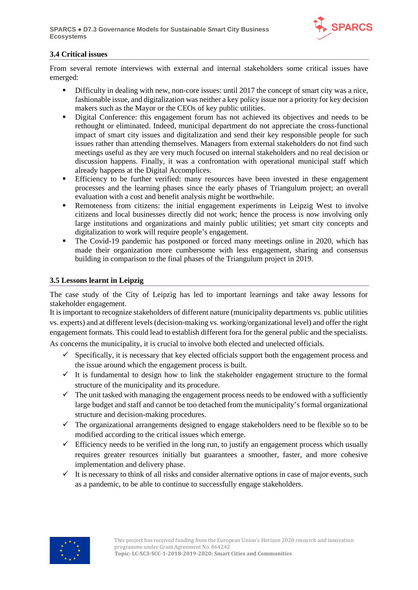

#### <span id="page-22-0"></span>**3.4 Critical issues**

From several remote interviews with external and internal stakeholders some critical issues have emerged:

- Difficulty in dealing with new, non-core issues: until 2017 the concept of smart city was a nice, fashionable issue, and digitalization was neither a key policy issue nor a priority for key decision makers such as the Mayor or the CEOs of key public utilities.
- Digital Conference: this engagement forum has not achieved its objectives and needs to be rethought or eliminated. Indeed, municipal department do not appreciate the cross-functional impact of smart city issues and digitalization and send their key responsible people for such issues rather than attending themselves. Managers from external stakeholders do not find such meetings useful as they are very much focused on internal stakeholders and no real decision or discussion happens. Finally, it was a confrontation with operational municipal staff which already happens at the Digital Accomplices.
- Efficiency to be further verified: many resources have been invested in these engagement processes and the learning phases since the early phases of Triangulum project; an overall evaluation with a cost and benefit analysis might be worthwhile.
- **Remoteness from citizens: the initial engagement experiments in Leipzig West to involve** citizens and local businesses directly did not work; hence the process is now involving only large institutions and organizations and mainly public utilities; yet smart city concepts and digitalization to work will require people's engagement.
- The Covid-19 pandemic has postponed or forced many meetings online in 2020, which has made their organization more cumbersome with less engagement, sharing and consensus building in comparison to the final phases of the Triangulum project in 2019.

#### <span id="page-22-1"></span>**3.5 Lessons learnt in Leipzig**

The case study of the City of Leipzig has led to important learnings and take away lessons for stakeholder engagement.

It is important to recognize stakeholders of different nature (municipality departments vs. public utilities vs. experts) and at different levels (decision-making vs. working/organizational level) and offer the right engagement formats. This could lead to establish different fora for the general public and the specialists.

As concerns the municipality, it is crucial to involve both elected and unelected officials.

- $\checkmark$  Specifically, it is necessary that key elected officials support both the engagement process and the issue around which the engagement process is built.
- $\checkmark$  It is fundamental to design how to link the stakeholder engagement structure to the formal structure of the municipality and its procedure.
- $\checkmark$  The unit tasked with managing the engagement process needs to be endowed with a sufficiently large budget and staff and cannot be too detached from the municipality's formal organizational structure and decision-making procedures.
- $\checkmark$  The organizational arrangements designed to engage stakeholders need to be flexible so to be modified according to the critical issues which emerge.
- $\checkmark$  Efficiency needs to be verified in the long run, to justify an engagement process which usually requires greater resources initially but guarantees a smoother, faster, and more cohesive implementation and delivery phase.
- $\checkmark$  It is necessary to think of all risks and consider alternative options in case of major events, such as a pandemic, to be able to continue to successfully engage stakeholders.

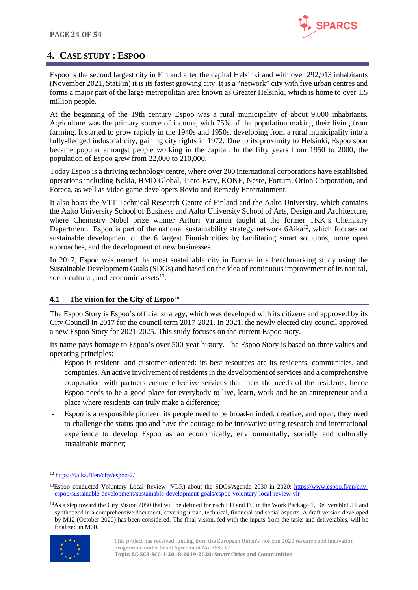

## <span id="page-23-0"></span>**4. CASE STUDY : ESPOO**

Espoo is the second largest city in Finland after the capital Helsinki and with over 292,913 inhabitants (November 2021, StatFin) it is its fastest growing city. It is a "network" city with five urban centres and forms a major part of the large metropolitan area known as Greater Helsinki, which is home to over 1.5 million people.

At the beginning of the 19th century Espoo was a rural municipality of about 9,000 inhabitants. Agriculture was the primary source of income, with 75% of the population making their living from farming. It started to grow rapidly in the 1940s and 1950s, developing from a rural municipality into a fully-fledged industrial city, gaining city rights in 1972. Due to its proximity to Helsinki, Espoo soon became popular amongst people working in the capital. In the fifty years from 1950 to 2000, the population of Espoo grew from 22,000 to 210,000.

Today Espoo is a thriving technology centre, where over 200 international corporations have established operations including Nokia, HMD Global, Tieto-Evry, KONE, Neste, Fortum, Orion Corporation, and Foreca, as well as video game developers Rovio and Remedy Entertainment.

It also hosts the VTT Technical Research Centre of Finland and the Aalto University, which contains the Aalto University School of Business and Aalto University School of Arts, Design and Architecture, where Chemistry Nobel prize winner Artturi Virtanen taught at the former TKK's Chemistry Department. Espoo is part of the national sustainability strategy network 6Aika<sup>12</sup>, which focuses on sustainable development of the 6 largest Finnish cities by facilitating smart solutions, more open approaches, and the development of new businesses.

In 2017, Espoo was named the most sustainable city in Europe in a benchmarking study using the Sustainable Development Goals (SDGs) and based on the idea of continuous improvement of its natural, socio-cultural, and economic assets $^{13}$  $^{13}$  $^{13}$ .

#### <span id="page-23-1"></span>**4.1 The vision for the City of Espoo[14](#page-23-4)**

The Espoo Story is Espoo's official strategy, which was developed with its citizens and approved by its City Council in 2017 for the council term 2017-2021. In 2021, the newly elected city council approved a new Espoo Story for 2021-2025. This study focuses on the current Espoo story.

Its name pays homage to Espoo's over 500-year history. The Espoo Story is based on three values and operating principles:

- Espoo is resident- and customer-oriented: its best resources are its residents, communities, and companies. An active involvement of residents in the development of services and a comprehensive cooperation with partners ensure effective services that meet the needs of the residents; hence Espoo needs to be a good place for everybody to live, learn, work and be an entrepreneur and a place where residents can truly make a difference;
- Espoo is a responsible pioneer: its people need to be broad-minded, creative, and open; they need to challenge the status quo and have the courage to be innovative using research and international experience to develop Espoo as an economically, environmentally, socially and culturally sustainable manner;

<span id="page-23-4"></span><sup>&</sup>lt;sup>14</sup>As a step toward the City Vision 2050 that will be defined for each LH and FC in the Work Package 1, Deliverable1.11 and synthetized in a comprehensive document, covering urban, technical, financial and social aspects. A draft version developed by M12 (October 2020) has been considered. The final vision, fed with the inputs from the tasks and deliverables, will be finalized in M60.



This project has received funding from the European Union's Horizon 2020 research and innovation programme under Grant Agreement No. 864242 **Topic: LC-SC3-SCC-1-2018-2019-2020: Smart Cities and Communities**

<span id="page-23-2"></span><sup>12</sup> <https://6aika.fi/en/city/espoo-2/>

<span id="page-23-3"></span><sup>13</sup>Espoo conducted Voluntary Local Review (VLR) about the SDGs/Agenda 2030 in 2020: [https://www.espoo.fi/en/city](https://www.espoo.fi/en/city-espoo/sustainable-development/sustainable-development-goals/espoo-voluntary-local-review-vlr)[espoo/sustainable-development/sustainable-development-goals/espoo-voluntary-local-review-vlr](https://www.espoo.fi/en/city-espoo/sustainable-development/sustainable-development-goals/espoo-voluntary-local-review-vlr)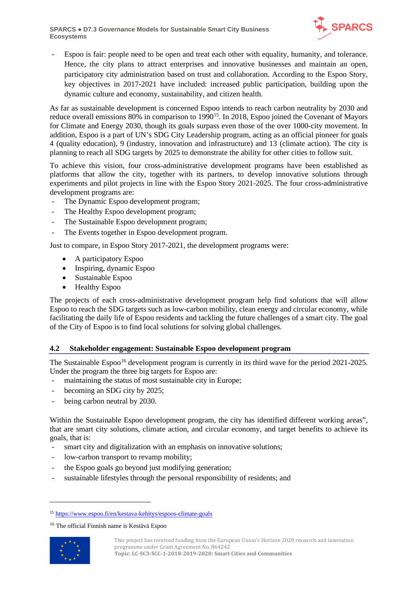

Espoo is fair: people need to be open and treat each other with equality, humanity, and tolerance. Hence, the city plans to attract enterprises and innovative businesses and maintain an open, participatory city administration based on trust and collaboration. According to the Espoo Story, key objectives in 2017-2021 have included: increased public participation, building upon the dynamic culture and economy, sustainability, and citizen health.

As far as sustainable development is concerned Espoo intends to reach carbon neutrality by 2030 and reduce overall emissions 80% in comparison to 1990<sup>15</sup>. In 2018, Espoo joined the Covenant of Mayors for Climate and Energy 2030, though its goals surpass even those of the over 1000-city movement. In addition, Espoo is a part of UN's SDG City Leadership program, acting as an official pioneer for goals 4 (quality education), 9 (industry, innovation and infrastructure) and 13 (climate action). The city is planning to reach all SDG targets by 2025 to demonstrate the ability for other cities to follow suit.

To achieve this vision, four cross-administrative development programs have been established as platforms that allow the city, together with its partners, to develop innovative solutions through experiments and pilot projects in line with the Espoo Story 2021-2025. The four cross-administrative development programs are:

- The Dynamic Espoo development program;
- The Healthy Espoo development program;
- The Sustainable Espoo development program;
- The Events together in Espoo development program.

Just to compare, in Espoo Story 2017-2021, the development programs were:

- A participatory Espoo
- Inspiring, dynamic Espoo
- Sustainable Espoo
- Healthy Espoo

The projects of each cross-administrative development program help find solutions that will allow Espoo to reach the SDG targets such as low-carbon mobility, clean energy and circular economy, while facilitating the daily life of Espoo residents and tackling the future challenges of a smart city. The goal of the City of Espoo is to find local solutions for solving global challenges.

#### <span id="page-24-0"></span>**4.2 Stakeholder engagement: Sustainable Espoo development program**

The Sustainable Espoo<sup>[16](#page-24-2)</sup> development program is currently in its third wave for the period 2021-2025. Under the program the three big targets for Espoo are:

- maintaining the status of most sustainable city in Europe;
- becoming an SDG city by 2025;
- being carbon neutral by 2030.

Within the Sustainable Espoo development program, the city has identified different working areas", that are smart city solutions, climate action, and circular economy, and target benefits to achieve its goals, that is:

- smart city and digitalization with an emphasis on innovative solutions;
- low-carbon transport to revamp mobility;
- the Espoo goals go beyond just modifying generation;
- sustainable lifestyles through the personal responsibility of residents; and

<span id="page-24-2"></span><span id="page-24-1"></span><sup>16</sup> The official Finnish name is Kestävä Espoo



This project has received funding from the European Union's Horizon 2020 research and innovation programme under Grant Agreement No. 864242 **Topic: LC-SC3-SCC-1-2018-2019-2020: Smart Cities and Communities**

<sup>15</sup> <https://www.espoo.fi/en/kestava-kehitys/espoos-climate-goals>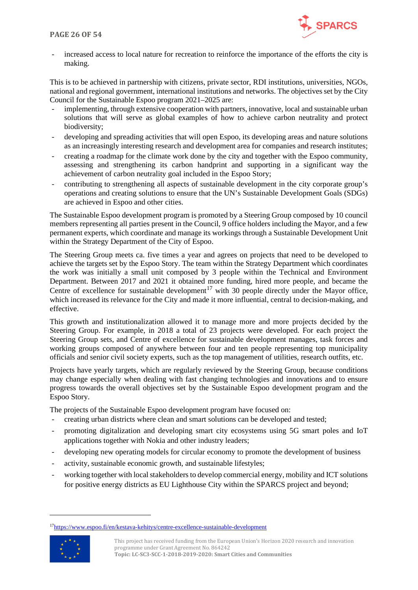

increased access to local nature for recreation to reinforce the importance of the efforts the city is making.

This is to be achieved in partnership with citizens, private sector, RDI institutions, universities, NGOs, national and regional government, international institutions and networks. The objectives set by the City Council for the Sustainable Espoo program 2021–2025 are:

- implementing, through extensive cooperation with partners, innovative, local and sustainable urban solutions that will serve as global examples of how to achieve carbon neutrality and protect biodiversity;
- developing and spreading activities that will open Espoo, its developing areas and nature solutions as an increasingly interesting research and development area for companies and research institutes;
- creating a roadmap for the climate work done by the city and together with the Espoo community, assessing and strengthening its carbon handprint and supporting in a significant way the achievement of carbon neutrality goal included in the Espoo Story;
- contributing to strengthening all aspects of sustainable development in the city corporate group's operations and creating solutions to ensure that the UN's Sustainable Development Goals (SDGs) are achieved in Espoo and other cities.

The Sustainable Espoo development program is promoted by a Steering Group composed by 10 council members representing all parties present in the Council, 9 office holders including the Mayor, and a few permanent experts, which coordinate and manage its workings through a Sustainable Development Unit within the Strategy Department of the City of Espoo.

The Steering Group meets ca. five times a year and agrees on projects that need to be developed to achieve the targets set by the Espoo Story. The team within the Strategy Department which coordinates the work was initially a small unit composed by 3 people within the Technical and Environment Department. Between 2017 and 2021 it obtained more funding, hired more people, and became the Centre of excellence for sustainable development<sup>[17](#page-25-0)</sup> with 30 people directly under the Mayor office, which increased its relevance for the City and made it more influential, central to decision-making, and effective.

This growth and institutionalization allowed it to manage more and more projects decided by the Steering Group. For example, in 2018 a total of 23 projects were developed. For each project the Steering Group sets, and Centre of excellence for sustainable development manages, task forces and working groups composed of anywhere between four and ten people representing top municipality officials and senior civil society experts, such as the top management of utilities, research outfits, etc.

Projects have yearly targets, which are regularly reviewed by the Steering Group, because conditions may change especially when dealing with fast changing technologies and innovations and to ensure progress towards the overall objectives set by the Sustainable Espoo development program and the Espoo Story.

The projects of the Sustainable Espoo development program have focused on:

- creating urban districts where clean and smart solutions can be developed and tested;
- promoting digitalization and developing smart city ecosystems using 5G smart poles and IoT applications together with Nokia and other industry leaders;
- developing new operating models for circular economy to promote the development of business
- activity, sustainable economic growth, and sustainable lifestyles;
- working together with local stakeholders to develop commercial energy, mobility and ICT solutions for positive energy districts as EU Lighthouse City within the SPARCS project and beyond;

<span id="page-25-0"></span><sup>1</sup>[7https://www.espoo.fi/en/kestava-kehitys/centre-excellence-sustainable-development](https://www.espoo.fi/en/kestava-kehitys/centre-excellence-sustainable-development)



This project has received funding from the European Union's Horizon 2020 research and innovation programme under Grant Agreement No. 864242 **Topic: LC-SC3-SCC-1-2018-2019-2020: Smart Cities and Communities**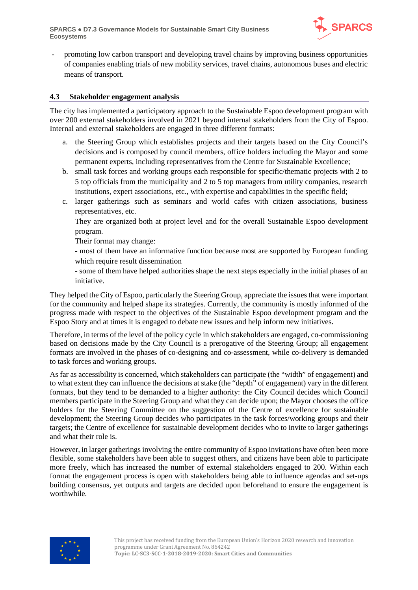

- promoting low carbon transport and developing travel chains by improving business opportunities of companies enabling trials of new mobility services, travel chains, autonomous buses and electric means of transport.

#### <span id="page-26-0"></span>**4.3 Stakeholder engagement analysis**

The city has implemented a participatory approach to the Sustainable Espoo development program with over 200 external stakeholders involved in 2021 beyond internal stakeholders from the City of Espoo. Internal and external stakeholders are engaged in three different formats:

- a. the Steering Group which establishes projects and their targets based on the City Council's decisions and is composed by council members, office holders including the Mayor and some permanent experts, including representatives from the Centre for Sustainable Excellence;
- b. small task forces and working groups each responsible for specific/thematic projects with 2 to 5 top officials from the municipality and 2 to 5 top managers from utility companies, research institutions, expert associations, etc., with expertise and capabilities in the specific field;
- c. larger gatherings such as seminars and world cafes with citizen associations, business representatives, etc.

They are organized both at project level and for the overall Sustainable Espoo development program.

Their format may change:

- most of them have an informative function because most are supported by European funding which require result dissemination

- some of them have helped authorities shape the next steps especially in the initial phases of an initiative.

They helped the City of Espoo, particularly the Steering Group, appreciate the issues that were important for the community and helped shape its strategies. Currently, the community is mostly informed of the progress made with respect to the objectives of the Sustainable Espoo development program and the Espoo Story and at times it is engaged to debate new issues and help inform new initiatives.

Therefore, in terms of the level of the policy cycle in which stakeholders are engaged, co-commissioning based on decisions made by the City Council is a prerogative of the Steering Group; all engagement formats are involved in the phases of co-designing and co-assessment, while co-delivery is demanded to task forces and working groups.

As far as accessibility is concerned, which stakeholders can participate (the "width" of engagement) and to what extent they can influence the decisions at stake (the "depth" of engagement) vary in the different formats, but they tend to be demanded to a higher authority: the City Council decides which Council members participate in the Steering Group and what they can decide upon; the Mayor chooses the office holders for the Steering Committee on the suggestion of the Centre of excellence for sustainable development; the Steering Group decides who participates in the task forces/working groups and their targets; the Centre of excellence for sustainable development decides who to invite to larger gatherings and what their role is.

However, in larger gatherings involving the entire community of Espoo invitations have often been more flexible, some stakeholders have been able to suggest others, and citizens have been able to participate more freely, which has increased the number of external stakeholders engaged to 200. Within each format the engagement process is open with stakeholders being able to influence agendas and set-ups building consensus, yet outputs and targets are decided upon beforehand to ensure the engagement is worthwhile.

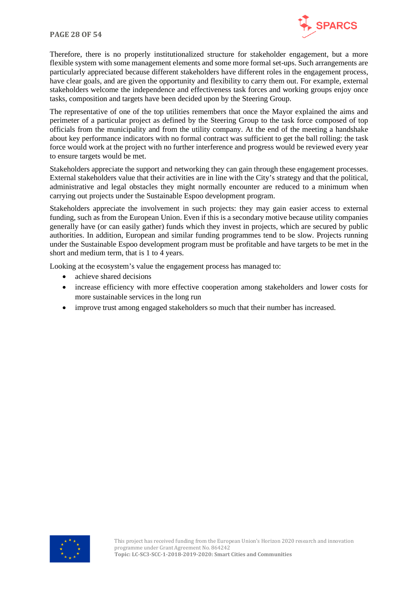

Therefore, there is no properly institutionalized structure for stakeholder engagement, but a more flexible system with some management elements and some more formal set-ups. Such arrangements are particularly appreciated because different stakeholders have different roles in the engagement process, have clear goals, and are given the opportunity and flexibility to carry them out. For example, external stakeholders welcome the independence and effectiveness task forces and working groups enjoy once tasks, composition and targets have been decided upon by the Steering Group.

The representative of one of the top utilities remembers that once the Mayor explained the aims and perimeter of a particular project as defined by the Steering Group to the task force composed of top officials from the municipality and from the utility company. At the end of the meeting a handshake about key performance indicators with no formal contract was sufficient to get the ball rolling: the task force would work at the project with no further interference and progress would be reviewed every year to ensure targets would be met.

Stakeholders appreciate the support and networking they can gain through these engagement processes. External stakeholders value that their activities are in line with the City's strategy and that the political, administrative and legal obstacles they might normally encounter are reduced to a minimum when carrying out projects under the Sustainable Espoo development program.

Stakeholders appreciate the involvement in such projects: they may gain easier access to external funding, such as from the European Union. Even if this is a secondary motive because utility companies generally have (or can easily gather) funds which they invest in projects, which are secured by public authorities. In addition, European and similar funding programmes tend to be slow. Projects running under the Sustainable Espoo development program must be profitable and have targets to be met in the short and medium term, that is 1 to 4 years.

Looking at the ecosystem's value the engagement process has managed to:

- achieve shared decisions
- increase efficiency with more effective cooperation among stakeholders and lower costs for more sustainable services in the long run
- improve trust among engaged stakeholders so much that their number has increased.

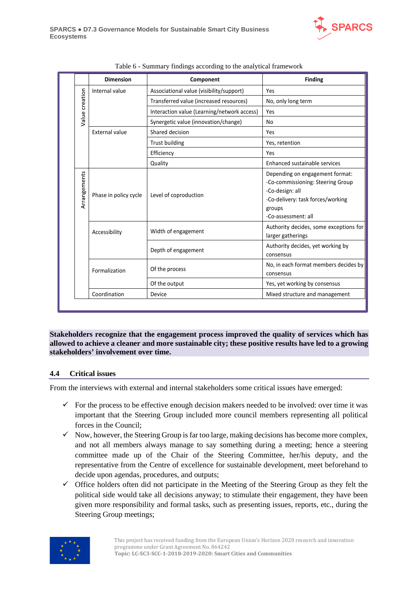

<span id="page-28-1"></span>

|                | <b>Dimension</b>      | Component                                   | <b>Finding</b>                                                                                                                                                |
|----------------|-----------------------|---------------------------------------------|---------------------------------------------------------------------------------------------------------------------------------------------------------------|
|                | Internal value        | Associational value (visibility/support)    | Yes                                                                                                                                                           |
| Value creation |                       | Transferred value (increased resources)     | No, only long term                                                                                                                                            |
|                |                       | Interaction value (Learning/network access) | Yes                                                                                                                                                           |
|                |                       | Synergetic value (innovation/change)        | <b>No</b>                                                                                                                                                     |
|                | <b>External value</b> | Shared decision                             | Yes                                                                                                                                                           |
|                |                       | <b>Trust building</b>                       | Yes, retention                                                                                                                                                |
|                |                       | Efficiency                                  | Yes                                                                                                                                                           |
|                |                       | Quality                                     | Enhanced sustainable services                                                                                                                                 |
| Arrangements   | Phase in policy cycle | Level of coproduction                       | Depending on engagement format:<br>-Co-commissioning: Steering Group<br>-Co-design: all<br>-Co-delivery: task forces/working<br>groups<br>-Co-assessment: all |
|                | Accessibility         | Width of engagement                         | Authority decides, some exceptions for<br>larger gatherings                                                                                                   |
|                |                       | Depth of engagement                         | Authority decides, yet working by<br>consensus                                                                                                                |
|                | Formalization         | Of the process                              | No, in each format members decides by<br>consensus                                                                                                            |
|                |                       | Of the output                               | Yes, yet working by consensus                                                                                                                                 |
|                | Coordination          | Device                                      | Mixed structure and management                                                                                                                                |

| Table 6 - Summary findings according to the analytical framework |  |  |
|------------------------------------------------------------------|--|--|
|                                                                  |  |  |

**Stakeholders recognize that the engagement process improved the quality of services which has allowed to achieve a cleaner and more sustainable city; these positive results have led to a growing stakeholders' involvement over time.**

#### <span id="page-28-0"></span>**4.4 Critical issues**

From the interviews with external and internal stakeholders some critical issues have emerged:

- $\checkmark$  For the process to be effective enough decision makers needed to be involved: over time it was important that the Steering Group included more council members representing all political forces in the Council;
- $\checkmark$  Now, however, the Steering Group is far too large, making decisions has become more complex, and not all members always manage to say something during a meeting; hence a steering committee made up of the Chair of the Steering Committee, her/his deputy, and the representative from the Centre of excellence for sustainable development, meet beforehand to decide upon agendas, procedures, and outputs;
- $\checkmark$  Office holders often did not participate in the Meeting of the Steering Group as they felt the political side would take all decisions anyway; to stimulate their engagement, they have been given more responsibility and formal tasks, such as presenting issues, reports, etc., during the Steering Group meetings;

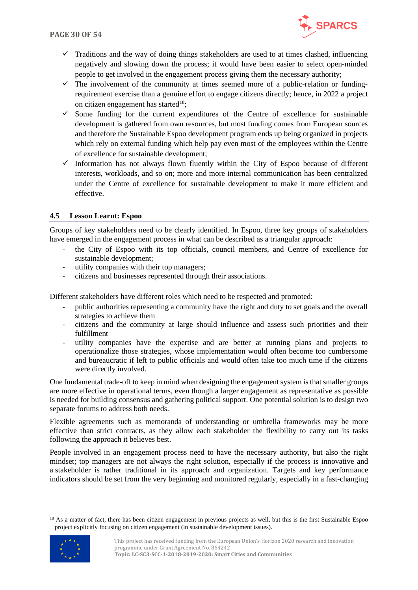

- $\checkmark$  Traditions and the way of doing things stakeholders are used to at times clashed, influencing negatively and slowing down the process; it would have been easier to select open-minded people to get involved in the engagement process giving them the necessary authority;
- $\checkmark$  The involvement of the community at times seemed more of a public-relation or fundingrequirement exercise than a genuine effort to engage citizens directly; hence, in 2022 a project on citizen engagement has started<sup>18</sup>;
- $\checkmark$  Some funding for the current expenditures of the Centre of excellence for sustainable development is gathered from own resources, but most funding comes from European sources and therefore the Sustainable Espoo development program ends up being organized in projects which rely on external funding which help pay even most of the employees within the Centre of excellence for sustainable development;
- $\checkmark$  Information has not always flown fluently within the City of Espoo because of different interests, workloads, and so on; more and more internal communication has been centralized under the Centre of excellence for sustainable development to make it more efficient and effective.

#### <span id="page-29-0"></span>**4.5 Lesson Learnt: Espoo**

Groups of key stakeholders need to be clearly identified. In Espoo, three key groups of stakeholders have emerged in the engagement process in what can be described as a triangular approach:

- the City of Espoo with its top officials, council members, and Centre of excellence for sustainable development;
- utility companies with their top managers;
- citizens and businesses represented through their associations.

Different stakeholders have different roles which need to be respected and promoted:

- public authorities representing a community have the right and duty to set goals and the overall strategies to achieve them
- citizens and the community at large should influence and assess such priorities and their fulfillment
- utility companies have the expertise and are better at running plans and projects to operationalize those strategies, whose implementation would often become too cumbersome and bureaucratic if left to public officials and would often take too much time if the citizens were directly involved.

One fundamental trade-off to keep in mind when designing the engagement system is that smaller groups are more effective in operational terms, even though a larger engagement as representative as possible is needed for building consensus and gathering political support. One potential solution is to design two separate forums to address both needs.

Flexible agreements such as memoranda of understanding or umbrella frameworks may be more effective than strict contracts, as they allow each stakeholder the flexibility to carry out its tasks following the approach it believes best.

People involved in an engagement process need to have the necessary authority, but also the right mindset; top managers are not always the right solution, especially if the process is innovative and a stakeholder is rather traditional in its approach and organization. Targets and key performance indicators should be set from the very beginning and monitored regularly, especially in a fast-changing

<span id="page-29-1"></span><sup>&</sup>lt;sup>18</sup> As a matter of fact, there has been citizen engagement in previous projects as well, but this is the first Sustainable Espoo project explicitly focusing on citizen engagement (in sustainable development issues).



This project has received funding from the European Union's Horizon 2020 research and innovation programme under Grant Agreement No. 864242 **Topic: LC-SC3-SCC-1-2018-2019-2020: Smart Cities and Communities**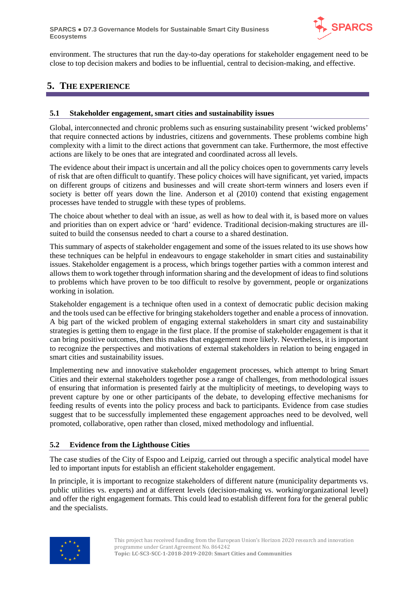

environment. The structures that run the day-to-day operations for stakeholder engagement need to be close to top decision makers and bodies to be influential, central to decision-making, and effective.

## <span id="page-30-0"></span>**5. THE EXPERIENCE**

#### <span id="page-30-1"></span>**5.1 Stakeholder engagement, smart cities and sustainability issues**

Global, interconnected and chronic problems such as ensuring sustainability present 'wicked problems' that require connected actions by industries, citizens and governments. These problems combine high complexity with a limit to the direct actions that government can take. Furthermore, the most effective actions are likely to be ones that are integrated and coordinated across all levels.

The evidence about their impact is uncertain and all the policy choices open to governments carry levels of risk that are often difficult to quantify. These policy choices will have significant, yet varied, impacts on different groups of citizens and businesses and will create short-term winners and losers even if society is better off years down the line. Anderson et al (2010) contend that existing engagement processes have tended to struggle with these types of problems.

The choice about whether to deal with an issue, as well as how to deal with it, is based more on values and priorities than on expert advice or 'hard' evidence. Traditional decision-making structures are illsuited to build the consensus needed to chart a course to a shared destination.

This summary of aspects of stakeholder engagement and some of the issues related to its use shows how these techniques can be helpful in endeavours to engage stakeholder in smart cities and sustainability issues. Stakeholder engagement is a process, which brings together parties with a common interest and allows them to work together through information sharing and the development of ideas to find solutions to problems which have proven to be too difficult to resolve by government, people or organizations working in isolation.

Stakeholder engagement is a technique often used in a context of democratic public decision making and the tools used can be effective for bringing stakeholders together and enable a process of innovation. A big part of the wicked problem of engaging external stakeholders in smart city and sustainability strategies is getting them to engage in the first place. If the promise of stakeholder engagement is that it can bring positive outcomes, then this makes that engagement more likely. Nevertheless, it is important to recognize the perspectives and motivations of external stakeholders in relation to being engaged in smart cities and sustainability issues.

Implementing new and innovative stakeholder engagement processes, which attempt to bring Smart Cities and their external stakeholders together pose a range of challenges, from methodological issues of ensuring that information is presented fairly at the multiplicity of meetings, to developing ways to prevent capture by one or other participants of the debate, to developing effective mechanisms for feeding results of events into the policy process and back to participants. Evidence from case studies suggest that to be successfully implemented these engagement approaches need to be devolved, well promoted, collaborative, open rather than closed, mixed methodology and influential.

#### <span id="page-30-2"></span>**5.2 Evidence from the Lighthouse Cities**

The case studies of the City of Espoo and Leipzig, carried out through a specific analytical model have led to important inputs for establish an efficient stakeholder engagement.

In principle, it is important to recognize stakeholders of different nature (municipality departments vs. public utilities vs. experts) and at different levels (decision-making vs. working/organizational level) and offer the right engagement formats. This could lead to establish different fora for the general public and the specialists.

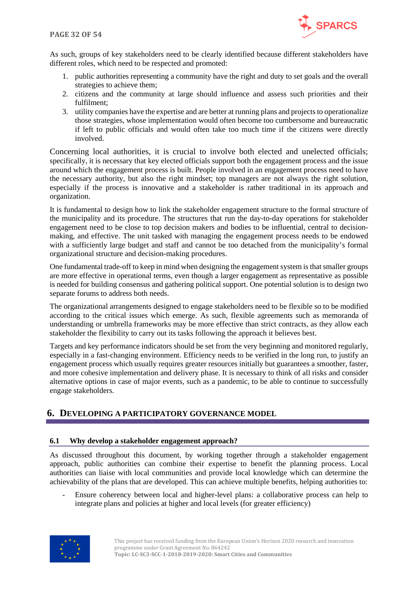

As such, groups of key stakeholders need to be clearly identified because different stakeholders have different roles, which need to be respected and promoted:

- 1. public authorities representing a community have the right and duty to set goals and the overall strategies to achieve them;
- 2. citizens and the community at large should influence and assess such priorities and their fulfilment;
- 3. utility companies have the expertise and are better at running plans and projects to operationalize those strategies, whose implementation would often become too cumbersome and bureaucratic if left to public officials and would often take too much time if the citizens were directly involved.

Concerning local authorities, it is crucial to involve both elected and unelected officials; specifically, it is necessary that key elected officials support both the engagement process and the issue around which the engagement process is built. People involved in an engagement process need to have the necessary authority, but also the right mindset; top managers are not always the right solution, especially if the process is innovative and a stakeholder is rather traditional in its approach and organization.

It is fundamental to design how to link the stakeholder engagement structure to the formal structure of the municipality and its procedure. The structures that run the day-to-day operations for stakeholder engagement need to be close to top decision makers and bodies to be influential, central to decisionmaking, and effective. The unit tasked with managing the engagement process needs to be endowed with a sufficiently large budget and staff and cannot be too detached from the municipality's formal organizational structure and decision-making procedures.

One fundamental trade-off to keep in mind when designing the engagement system is that smaller groups are more effective in operational terms, even though a larger engagement as representative as possible is needed for building consensus and gathering political support. One potential solution is to design two separate forums to address both needs.

The organizational arrangements designed to engage stakeholders need to be flexible so to be modified according to the critical issues which emerge. As such, flexible agreements such as memoranda of understanding or umbrella frameworks may be more effective than strict contracts, as they allow each stakeholder the flexibility to carry out its tasks following the approach it believes best.

Targets and key performance indicators should be set from the very beginning and monitored regularly, especially in a fast-changing environment. Efficiency needs to be verified in the long run, to justify an engagement process which usually requires greater resources initially but guarantees a smoother, faster, and more cohesive implementation and delivery phase. It is necessary to think of all risks and consider alternative options in case of major events, such as a pandemic, to be able to continue to successfully engage stakeholders.

### <span id="page-31-0"></span>**6. DEVELOPING A PARTICIPATORY GOVERNANCE MODEL**

#### <span id="page-31-1"></span>**6.1 Why develop a stakeholder engagement approach?**

As discussed throughout this document, by working together through a stakeholder engagement approach, public authorities can combine their expertise to benefit the planning process. Local authorities can liaise with local communities and provide local knowledge which can determine the achievability of the plans that are developed. This can achieve multiple benefits, helping authorities to:

- Ensure coherency between local and higher-level plans: a collaborative process can help to integrate plans and policies at higher and local levels (for greater efficiency)

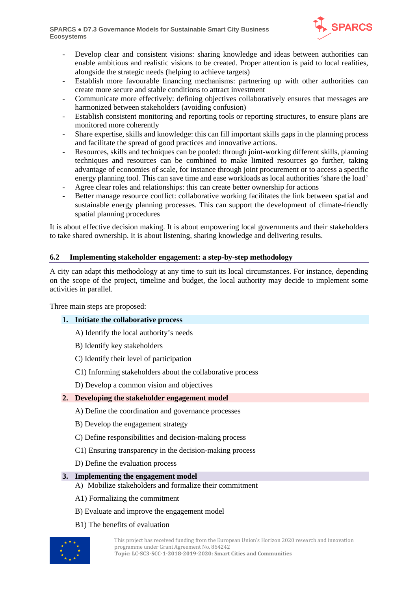**SPARCS** ● **D7.3 Governance Models for Sustainable Smart City Business Ecosystems**



- Develop clear and consistent visions: sharing knowledge and ideas between authorities can enable ambitious and realistic visions to be created. Proper attention is paid to local realities, alongside the strategic needs (helping to achieve targets)
- Establish more favourable financing mechanisms: partnering up with other authorities can create more secure and stable conditions to attract investment
- Communicate more effectively: defining objectives collaboratively ensures that messages are harmonized between stakeholders (avoiding confusion)
- Establish consistent monitoring and reporting tools or reporting structures, to ensure plans are monitored more coherently
- Share expertise, skills and knowledge: this can fill important skills gaps in the planning process and facilitate the spread of good practices and innovative actions.
- Resources, skills and techniques can be pooled: through joint-working different skills, planning techniques and resources can be combined to make limited resources go further, taking advantage of economies of scale, for instance through joint procurement or to access a specific energy planning tool. This can save time and ease workloads as local authorities 'share the load'
- Agree clear roles and relationships: this can create better ownership for actions
- Better manage resource conflict: collaborative working facilitates the link between spatial and sustainable energy planning processes. This can support the development of climate-friendly spatial planning procedures

It is about effective decision making. It is about empowering local governments and their stakeholders to take shared ownership. It is about listening, sharing knowledge and delivering results.

#### <span id="page-32-0"></span>**6.2 Implementing stakeholder engagement: a step-by-step methodology**

A city can adapt this methodology at any time to suit its local circumstances. For instance, depending on the scope of the project, timeline and budget, the local authority may decide to implement some activities in parallel.

Three main steps are proposed:

#### **1. Initiate the collaborative process**

A) Identify the local authority's needs

- B) Identify key stakeholders
- C) Identify their level of participation
- C1) Informing stakeholders about the collaborative process
- D) Develop a common vision and objectives

#### **2. Developing the stakeholder engagement model**

- A) Define the coordination and governance processes
- B) Develop the engagement strategy
- C) Define responsibilities and decision-making process
- C1) Ensuring transparency in the decision-making process
- D) Define the evaluation process

#### **3. Implementing the engagement model**

- A) Mobilize stakeholders and formalize their commitment
- A1) Formalizing the commitment
- B) Evaluate and improve the engagement model
- B1) The benefits of evaluation

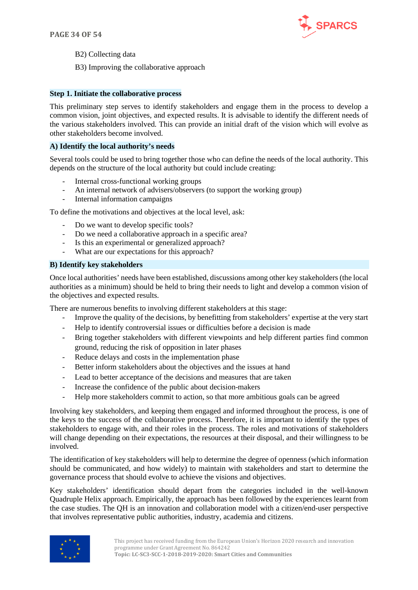

B2) Collecting data

B3) Improving the collaborative approach

#### **Step 1. Initiate the collaborative process**

This preliminary step serves to identify stakeholders and engage them in the process to develop a common vision, joint objectives, and expected results. It is advisable to identify the different needs of the various stakeholders involved. This can provide an initial draft of the vision which will evolve as other stakeholders become involved.

#### **A) Identify the local authority's needs**

Several tools could be used to bring together those who can define the needs of the local authority. This depends on the structure of the local authority but could include creating:

- Internal cross-functional working groups
- An internal network of advisers/observers (to support the working group)
- Internal information campaigns

To define the motivations and objectives at the local level, ask:

- Do we want to develop specific tools?
- Do we need a collaborative approach in a specific area?
- Is this an experimental or generalized approach?
- What are our expectations for this approach?

#### **B) Identify key stakeholders**

Once local authorities' needs have been established, discussions among other key stakeholders (the local authorities as a minimum) should be held to bring their needs to light and develop a common vision of the objectives and expected results.

There are numerous benefits to involving different stakeholders at this stage:

- Improve the quality of the decisions, by benefitting from stakeholders' expertise at the very start
- Help to identify controversial issues or difficulties before a decision is made
- Bring together stakeholders with different viewpoints and help different parties find common ground, reducing the risk of opposition in later phases
- Reduce delays and costs in the implementation phase
- Better inform stakeholders about the objectives and the issues at hand
- Lead to better acceptance of the decisions and measures that are taken
- Increase the confidence of the public about decision-makers
- Help more stakeholders commit to action, so that more ambitious goals can be agreed

Involving key stakeholders, and keeping them engaged and informed throughout the process, is one of the keys to the success of the collaborative process. Therefore, it is important to identify the types of stakeholders to engage with, and their roles in the process. The roles and motivations of stakeholders will change depending on their expectations, the resources at their disposal, and their willingness to be involved.

The identification of key stakeholders will help to determine the degree of openness (which information should be communicated, and how widely) to maintain with stakeholders and start to determine the governance process that should evolve to achieve the visions and objectives.

Key stakeholders' identification should depart from the categories included in the well-known Quadruple Helix approach. Empirically, the approach has been followed by the experiences learnt from the case studies. The QH is an innovation and collaboration model with a citizen/end-user perspective that involves representative public authorities, industry, academia and citizens.

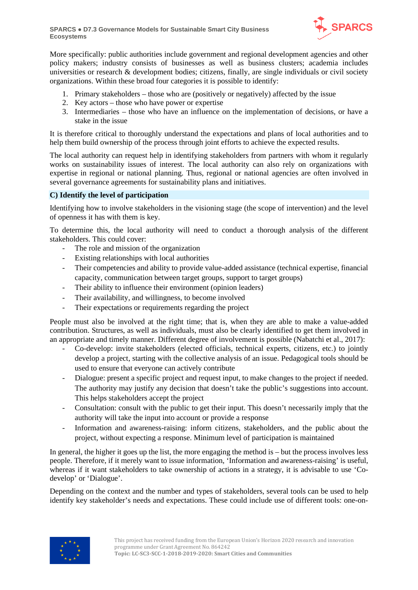

More specifically: public authorities include government and regional development agencies and other policy makers; industry consists of businesses as well as business clusters; academia includes universities or research & development bodies; citizens, finally, are single individuals or civil society organizations. Within these broad four categories it is possible to identify:

- 1. Primary stakeholders those who are (positively or negatively) affected by the issue
- 2. Key actors those who have power or expertise
- 3. Intermediaries those who have an influence on the implementation of decisions, or have a stake in the issue

It is therefore critical to thoroughly understand the expectations and plans of local authorities and to help them build ownership of the process through joint efforts to achieve the expected results.

The local authority can request help in identifying stakeholders from partners with whom it regularly works on sustainability issues of interest. The local authority can also rely on organizations with expertise in regional or national planning. Thus, regional or national agencies are often involved in several governance agreements for sustainability plans and initiatives.

#### **C) Identify the level of participation**

Identifying how to involve stakeholders in the visioning stage (the scope of intervention) and the level of openness it has with them is key.

To determine this, the local authority will need to conduct a thorough analysis of the different stakeholders. This could cover:

- The role and mission of the organization
- Existing relationships with local authorities
- Their competencies and ability to provide value-added assistance (technical expertise, financial capacity, communication between target groups, support to target groups)
- Their ability to influence their environment (opinion leaders)
- Their availability, and willingness, to become involved
- Their expectations or requirements regarding the project

People must also be involved at the right time; that is, when they are able to make a value-added contribution. Structures, as well as individuals, must also be clearly identified to get them involved in an appropriate and timely manner. Different degree of involvement is possible (Nabatchi et al., 2017):

- Co-develop: invite stakeholders (elected officials, technical experts, citizens, etc.) to jointly develop a project, starting with the collective analysis of an issue. Pedagogical tools should be used to ensure that everyone can actively contribute
- Dialogue: present a specific project and request input, to make changes to the project if needed. The authority may justify any decision that doesn't take the public's suggestions into account. This helps stakeholders accept the project
- Consultation: consult with the public to get their input. This doesn't necessarily imply that the authority will take the input into account or provide a response
- Information and awareness-raising: inform citizens, stakeholders, and the public about the project, without expecting a response. Minimum level of participation is maintained

In general, the higher it goes up the list, the more engaging the method is – but the process involves less people. Therefore, if it merely want to issue information, 'Information and awareness-raising' is useful, whereas if it want stakeholders to take ownership of actions in a strategy, it is advisable to use 'Codevelop' or 'Dialogue'.

Depending on the context and the number and types of stakeholders, several tools can be used to help identify key stakeholder's needs and expectations. These could include use of different tools: one-on-

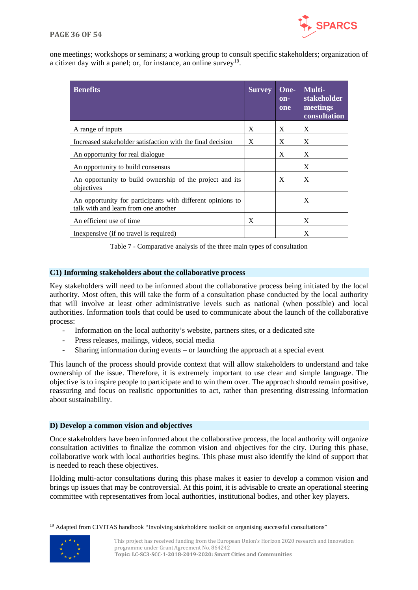

one meetings; workshops or seminars; a working group to consult specific stakeholders; organization of a citizen day with a panel; or, for instance, an online survey<sup>19</sup>.

| <b>Benefits</b>                                                                                    | <b>Survey</b> | One-<br>$on-$<br>one | Multi-<br>stakeholder<br>meetings<br>consultation |
|----------------------------------------------------------------------------------------------------|---------------|----------------------|---------------------------------------------------|
| A range of inputs                                                                                  | X             | X                    | X                                                 |
| Increased stakeholder satisfaction with the final decision                                         | X             | X                    | X                                                 |
| An opportunity for real dialogue.                                                                  |               | X                    | X                                                 |
| An opportunity to build consensus                                                                  |               |                      | X                                                 |
| An opportunity to build ownership of the project and its<br>objectives                             |               | X                    | X                                                 |
| An opportunity for participants with different opinions to<br>talk with and learn from one another |               |                      | X                                                 |
| An efficient use of time                                                                           | X             |                      | X                                                 |
| In expensive (if no travel is required)                                                            |               |                      | X                                                 |

Table 7 - Comparative analysis of the three main types of consultation

#### <span id="page-35-0"></span>**C1) Informing stakeholders about the collaborative process**

Key stakeholders will need to be informed about the collaborative process being initiated by the local authority. Most often, this will take the form of a consultation phase conducted by the local authority that will involve at least other administrative levels such as national (when possible) and local authorities. Information tools that could be used to communicate about the launch of the collaborative process:

- Information on the local authority's website, partners sites, or a dedicated site
- Press releases, mailings, videos, social media
- Sharing information during events or launching the approach at a special event

This launch of the process should provide context that will allow stakeholders to understand and take ownership of the issue. Therefore, it is extremely important to use clear and simple language. The objective is to inspire people to participate and to win them over. The approach should remain positive, reassuring and focus on realistic opportunities to act, rather than presenting distressing information about sustainability.

#### **D) Develop a common vision and objectives**

Once stakeholders have been informed about the collaborative process, the local authority will organize consultation activities to finalize the common vision and objectives for the city. During this phase, collaborative work with local authorities begins. This phase must also identify the kind of support that is needed to reach these objectives.

Holding multi-actor consultations during this phase makes it easier to develop a common vision and brings up issues that may be controversial. At this point, it is advisable to create an operational steering committee with representatives from local authorities, institutional bodies, and other key players.

<span id="page-35-1"></span><sup>&</sup>lt;sup>19</sup> Adapted from CIVITAS handbook "Involving stakeholders: toolkit on organising successful consultations"



This project has received funding from the European Union's Horizon 2020 research and innovation programme under Grant Agreement No. 864242 **Topic: LC-SC3-SCC-1-2018-2019-2020: Smart Cities and Communities**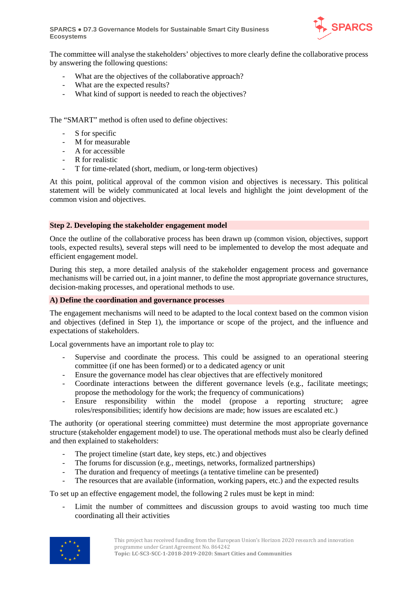**SPARCS** ● **D7.3 Governance Models for Sustainable Smart City Business Ecosystems**



The committee will analyse the stakeholders' objectives to more clearly define the collaborative process by answering the following questions:

- What are the objectives of the collaborative approach?
- What are the expected results?
- What kind of support is needed to reach the objectives?

The "SMART" method is often used to define objectives:

- S for specific
- M for measurable
- A for accessible
- R for realistic
- T for time-related (short, medium, or long-term objectives)

At this point, political approval of the common vision and objectives is necessary. This political statement will be widely communicated at local levels and highlight the joint development of the common vision and objectives.

#### **Step 2. Developing the stakeholder engagement model**

Once the outline of the collaborative process has been drawn up (common vision, objectives, support tools, expected results), several steps will need to be implemented to develop the most adequate and efficient engagement model.

During this step, a more detailed analysis of the stakeholder engagement process and governance mechanisms will be carried out, in a joint manner, to define the most appropriate governance structures, decision-making processes, and operational methods to use.

#### **A) Define the coordination and governance processes**

The engagement mechanisms will need to be adapted to the local context based on the common vision and objectives (defined in Step 1), the importance or scope of the project, and the influence and expectations of stakeholders.

Local governments have an important role to play to:

- Supervise and coordinate the process. This could be assigned to an operational steering committee (if one has been formed) or to a dedicated agency or unit
- Ensure the governance model has clear objectives that are effectively monitored
- Coordinate interactions between the different governance levels (e.g., facilitate meetings; propose the methodology for the work; the frequency of communications)
- Ensure responsibility within the model (propose a reporting structure; agree roles/responsibilities; identify how decisions are made; how issues are escalated etc.)

The authority (or operational steering committee) must determine the most appropriate governance structure (stakeholder engagement model) to use. The operational methods must also be clearly defined and then explained to stakeholders:

- The project timeline (start date, key steps, etc.) and objectives
- The forums for discussion (e.g., meetings, networks, formalized partnerships)
- The duration and frequency of meetings (a tentative timeline can be presented)
- The resources that are available (information, working papers, etc.) and the expected results

To set up an effective engagement model, the following 2 rules must be kept in mind:

Limit the number of committees and discussion groups to avoid wasting too much time coordinating all their activities

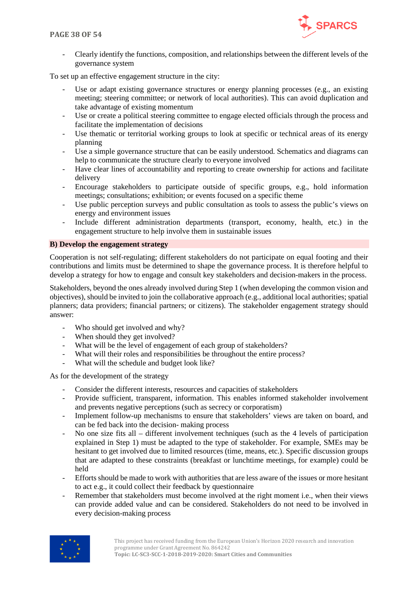

- Clearly identify the functions, composition, and relationships between the different levels of the governance system

To set up an effective engagement structure in the city:

- Use or adapt existing governance structures or energy planning processes (e.g., an existing meeting; steering committee; or network of local authorities). This can avoid duplication and take advantage of existing momentum
- Use or create a political steering committee to engage elected officials through the process and facilitate the implementation of decisions
- Use thematic or territorial working groups to look at specific or technical areas of its energy planning
- Use a simple governance structure that can be easily understood. Schematics and diagrams can help to communicate the structure clearly to everyone involved
- Have clear lines of accountability and reporting to create ownership for actions and facilitate delivery
- Encourage stakeholders to participate outside of specific groups, e.g., hold information meetings; consultations; exhibition; or events focused on a specific theme
- Use public perception surveys and public consultation as tools to assess the public's views on energy and environment issues
- Include different administration departments (transport, economy, health, etc.) in the engagement structure to help involve them in sustainable issues

#### **B) Develop the engagement strategy**

Cooperation is not self-regulating; different stakeholders do not participate on equal footing and their contributions and limits must be determined to shape the governance process. It is therefore helpful to develop a strategy for how to engage and consult key stakeholders and decision-makers in the process.

Stakeholders, beyond the ones already involved during Step 1 (when developing the common vision and objectives), should be invited to join the collaborative approach (e.g., additional local authorities; spatial planners; data providers; financial partners; or citizens). The stakeholder engagement strategy should answer:

- Who should get involved and why?
- When should they get involved?
- What will be the level of engagement of each group of stakeholders?
- What will their roles and responsibilities be throughout the entire process?
- What will the schedule and budget look like?

As for the development of the strategy

- Consider the different interests, resources and capacities of stakeholders
- Provide sufficient, transparent, information. This enables informed stakeholder involvement and prevents negative perceptions (such as secrecy or corporatism)
- Implement follow-up mechanisms to ensure that stakeholders' views are taken on board, and can be fed back into the decision- making process
- No one size fits all different involvement techniques (such as the 4 levels of participation explained in Step 1) must be adapted to the type of stakeholder. For example, SMEs may be hesitant to get involved due to limited resources (time, means, etc.). Specific discussion groups that are adapted to these constraints (breakfast or lunchtime meetings, for example) could be held
- Efforts should be made to work with authorities that are less aware of the issues or more hesitant to act e.g., it could collect their feedback by questionnaire
- Remember that stakeholders must become involved at the right moment i.e., when their views can provide added value and can be considered. Stakeholders do not need to be involved in every decision-making process

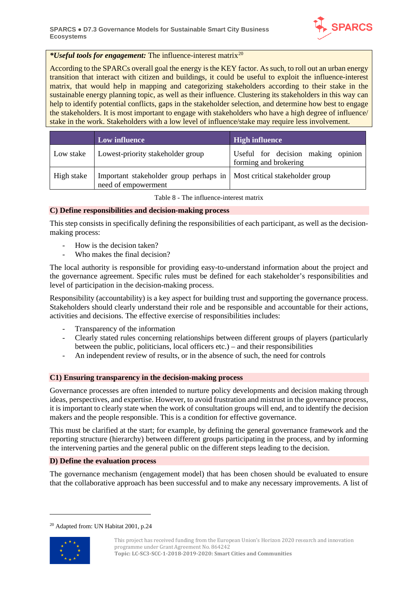

#### *\*Useful tools for engagement:* The influence-interest matrix[20](#page-38-1)

According to the SPARCs overall goal the energy is the KEY factor. As such, to roll out an urban energy transition that interact with citizen and buildings, it could be useful to exploit the influence-interest matrix, that would help in mapping and categorizing stakeholders according to their stake in the sustainable energy planning topic, as well as their influence. Clustering its stakeholders in this way can help to identify potential conflicts, gaps in the stakeholder selection, and determine how best to engage the stakeholders. It is most important to engage with stakeholders who have a high degree of influence/ stake in the work. Stakeholders with a low level of influence/stake may require less involvement.

|            | Low influence                                                                                   | <b>High influence</b>                                       |  |  |
|------------|-------------------------------------------------------------------------------------------------|-------------------------------------------------------------|--|--|
| Low stake  | Lowest-priority stakeholder group                                                               | Useful for decision making opinion<br>forming and brokering |  |  |
| High stake | Important stakeholder group perhaps in   Most critical stakeholder group<br>need of empowerment |                                                             |  |  |

Table 8 - The influence-interest matrix

#### <span id="page-38-0"></span>**C) Define responsibilities and decision-making process**

This step consists in specifically defining the responsibilities of each participant, as well as the decisionmaking process:

- How is the decision taken?
- Who makes the final decision?

The local authority is responsible for providing easy-to-understand information about the project and the governance agreement. Specific rules must be defined for each stakeholder's responsibilities and level of participation in the decision-making process.

Responsibility (accountability) is a key aspect for building trust and supporting the governance process. Stakeholders should clearly understand their role and be responsible and accountable for their actions, activities and decisions. The effective exercise of responsibilities includes:

- Transparency of the information
- Clearly stated rules concerning relationships between different groups of players (particularly between the public, politicians, local officers etc.) – and their responsibilities
- An independent review of results, or in the absence of such, the need for controls

#### **C1) Ensuring transparency in the decision-making process**

Governance processes are often intended to nurture policy developments and decision making through ideas, perspectives, and expertise. However, to avoid frustration and mistrust in the governance process, it is important to clearly state when the work of consultation groups will end, and to identify the decision makers and the people responsible. This is a condition for effective governance.

This must be clarified at the start; for example, by defining the general governance framework and the reporting structure (hierarchy) between different groups participating in the process, and by informing the intervening parties and the general public on the different steps leading to the decision.

#### **D) Define the evaluation process**

The governance mechanism (engagement model) that has been chosen should be evaluated to ensure that the collaborative approach has been successful and to make any necessary improvements. A list of

<span id="page-38-1"></span><sup>20</sup> Adapted from: UN Habitat 2001, p.24

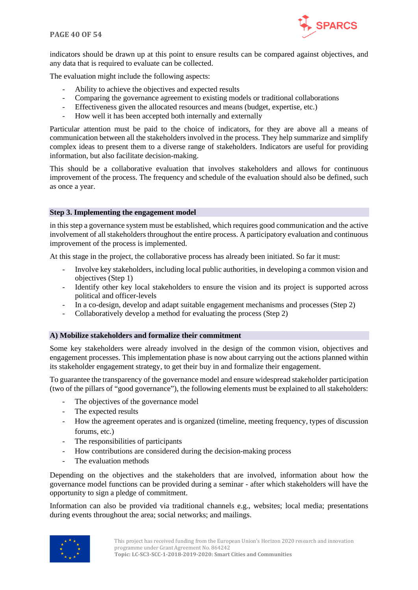

indicators should be drawn up at this point to ensure results can be compared against objectives, and any data that is required to evaluate can be collected.

The evaluation might include the following aspects:

- Ability to achieve the objectives and expected results
- Comparing the governance agreement to existing models or traditional collaborations
- Effectiveness given the allocated resources and means (budget, expertise, etc.)
- How well it has been accepted both internally and externally

Particular attention must be paid to the choice of indicators, for they are above all a means of communication between all the stakeholders involved in the process. They help summarize and simplify complex ideas to present them to a diverse range of stakeholders. Indicators are useful for providing information, but also facilitate decision-making.

This should be a collaborative evaluation that involves stakeholders and allows for continuous improvement of the process. The frequency and schedule of the evaluation should also be defined, such as once a year.

#### **Step 3. Implementing the engagement model**

in this step a governance system must be established, which requires good communication and the active involvement of all stakeholders throughout the entire process. A participatory evaluation and continuous improvement of the process is implemented.

At this stage in the project, the collaborative process has already been initiated. So far it must:

- Involve key stakeholders, including local public authorities, in developing a common vision and objectives (Step 1)
- Identify other key local stakeholders to ensure the vision and its project is supported across political and officer-levels
- In a co-design, develop and adapt suitable engagement mechanisms and processes (Step 2)
- Collaboratively develop a method for evaluating the process (Step 2)

#### **A) Mobilize stakeholders and formalize their commitment**

Some key stakeholders were already involved in the design of the common vision, objectives and engagement processes. This implementation phase is now about carrying out the actions planned within its stakeholder engagement strategy, to get their buy in and formalize their engagement.

To guarantee the transparency of the governance model and ensure widespread stakeholder participation (two of the pillars of "good governance"), the following elements must be explained to all stakeholders:

- The objectives of the governance model
- The expected results
- How the agreement operates and is organized (timeline, meeting frequency, types of discussion forums, etc.)
- The responsibilities of participants
- How contributions are considered during the decision-making process
- The evaluation methods

Depending on the objectives and the stakeholders that are involved, information about how the governance model functions can be provided during a seminar - after which stakeholders will have the opportunity to sign a pledge of commitment.

Information can also be provided via traditional channels e.g., websites; local media; presentations during events throughout the area; social networks; and mailings.

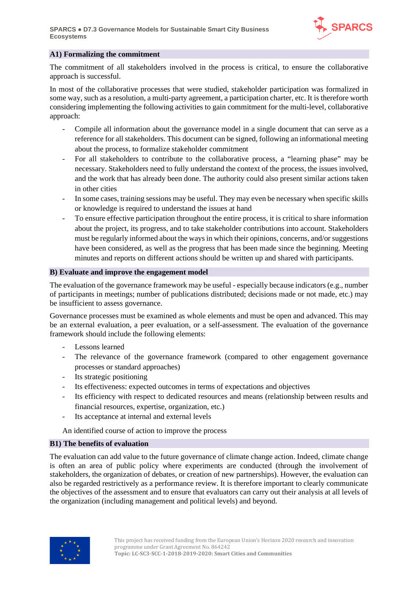

#### **A1) Formalizing the commitment**

The commitment of all stakeholders involved in the process is critical, to ensure the collaborative approach is successful.

In most of the collaborative processes that were studied, stakeholder participation was formalized in some way, such as a resolution, a multi-party agreement, a participation charter, etc. It is therefore worth considering implementing the following activities to gain commitment for the multi-level, collaborative approach:

- Compile all information about the governance model in a single document that can serve as a reference for all stakeholders. This document can be signed, following an informational meeting about the process, to formalize stakeholder commitment
- For all stakeholders to contribute to the collaborative process, a "learning phase" may be necessary. Stakeholders need to fully understand the context of the process, the issues involved, and the work that has already been done. The authority could also present similar actions taken in other cities
- In some cases, training sessions may be useful. They may even be necessary when specific skills or knowledge is required to understand the issues at hand
- To ensure effective participation throughout the entire process, it is critical to share information about the project, its progress, and to take stakeholder contributions into account. Stakeholders must be regularly informed about the ways in which their opinions, concerns, and/or suggestions have been considered, as well as the progress that has been made since the beginning. Meeting minutes and reports on different actions should be written up and shared with participants.

#### **B) Evaluate and improve the engagement model**

The evaluation of the governance framework may be useful - especially because indicators (e.g., number of participants in meetings; number of publications distributed; decisions made or not made, etc.) may be insufficient to assess governance.

Governance processes must be examined as whole elements and must be open and advanced. This may be an external evaluation, a peer evaluation, or a self-assessment. The evaluation of the governance framework should include the following elements:

- Lessons learned
- The relevance of the governance framework (compared to other engagement governance processes or standard approaches)
- Its strategic positioning
- Its effectiveness: expected outcomes in terms of expectations and objectives
- Its efficiency with respect to dedicated resources and means (relationship between results and financial resources, expertise, organization, etc.)
- Its acceptance at internal and external levels

An identified course of action to improve the process

#### **B1) The benefits of evaluation**

The evaluation can add value to the future governance of climate change action. Indeed, climate change is often an area of public policy where experiments are conducted (through the involvement of stakeholders, the organization of debates, or creation of new partnerships). However, the evaluation can also be regarded restrictively as a performance review. It is therefore important to clearly communicate the objectives of the assessment and to ensure that evaluators can carry out their analysis at all levels of the organization (including management and political levels) and beyond.

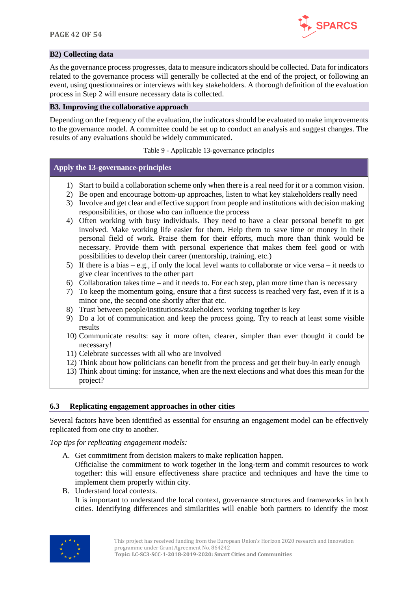

#### **B2) Collecting data**

As the governance process progresses, data to measure indicators should be collected. Data for indicators related to the governance process will generally be collected at the end of the project, or following an event, using questionnaires or interviews with key stakeholders. A thorough definition of the evaluation process in Step 2 will ensure necessary data is collected.

#### **B3. Improving the collaborative approach**

Depending on the frequency of the evaluation, the indicators should be evaluated to make improvements to the governance model. A committee could be set up to conduct an analysis and suggest changes. The results of any evaluations should be widely communicated.

Table 9 - Applicable 13-governance principles

#### <span id="page-41-1"></span>**Apply the 13-governance-principles**

- 1) Start to build a collaboration scheme only when there is a real need for it or a common vision.
- 2) Be open and encourage bottom-up approaches, listen to what key stakeholders really need
- 3) Involve and get clear and effective support from people and institutions with decision making responsibilities, or those who can influence the process
- 4) Often working with busy individuals. They need to have a clear personal benefit to get involved. Make working life easier for them. Help them to save time or money in their personal field of work. Praise them for their efforts, much more than think would be necessary. Provide them with personal experience that makes them feel good or with possibilities to develop their career (mentorship, training, etc.)
- 5) If there is a bias e.g., if only the local level wants to collaborate or vice versa it needs to give clear incentives to the other part
- 6) Collaboration takes time and it needs to. For each step, plan more time than is necessary
- 7) To keep the momentum going, ensure that a first success is reached very fast, even if it is a minor one, the second one shortly after that etc.
- 8) Trust between people/institutions/stakeholders: working together is key
- 9) Do a lot of communication and keep the process going. Try to reach at least some visible results
- 10) Communicate results: say it more often, clearer, simpler than ever thought it could be necessary!
- 11) Celebrate successes with all who are involved
- 12) Think about how politicians can benefit from the process and get their buy-in early enough
- 13) Think about timing: for instance, when are the next elections and what does this mean for the project?

#### <span id="page-41-0"></span>**6.3 Replicating engagement approaches in other cities**

Several factors have been identified as essential for ensuring an engagement model can be effectively replicated from one city to another.

#### *Top tips for replicating engagement models:*

A. Get commitment from decision makers to make replication happen.

Officialise the commitment to work together in the long-term and commit resources to work together: this will ensure effectiveness share practice and techniques and have the time to implement them properly within city.

B. Understand local contexts. It is important to understand the local context, governance structures and frameworks in both cities. Identifying differences and similarities will enable both partners to identify the most

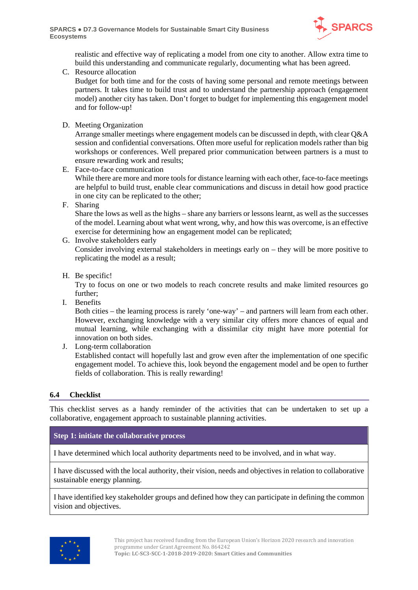

realistic and effective way of replicating a model from one city to another. Allow extra time to build this understanding and communicate regularly, documenting what has been agreed.

C. Resource allocation

Budget for both time and for the costs of having some personal and remote meetings between partners. It takes time to build trust and to understand the partnership approach (engagement model) another city has taken. Don't forget to budget for implementing this engagement model and for follow-up!

D. Meeting Organization

Arrange smaller meetings where engagement models can be discussed in depth, with clear Q&A session and confidential conversations. Often more useful for replication models rather than big workshops or conferences. Well prepared prior communication between partners is a must to ensure rewarding work and results;

- E. Face-to-face communication While there are more and more tools for distance learning with each other, face-to-face meetings are helpful to build trust, enable clear communications and discuss in detail how good practice in one city can be replicated to the other;
- F. Sharing

Share the lows as well as the highs – share any barriers or lessons learnt, as well as the successes of the model. Learning about what went wrong, why, and how this was overcome, is an effective exercise for determining how an engagement model can be replicated;

G. Involve stakeholders early

Consider involving external stakeholders in meetings early on – they will be more positive to replicating the model as a result;

H. Be specific!

Try to focus on one or two models to reach concrete results and make limited resources go further;

I. Benefits

Both cities – the learning process is rarely 'one-way' – and partners will learn from each other. However, exchanging knowledge with a very similar city offers more chances of equal and mutual learning, while exchanging with a dissimilar city might have more potential for innovation on both sides.

J. Long-term collaboration

Established contact will hopefully last and grow even after the implementation of one specific engagement model. To achieve this, look beyond the engagement model and be open to further fields of collaboration. This is really rewarding!

#### <span id="page-42-0"></span>**6.4 Checklist**

This checklist serves as a handy reminder of the activities that can be undertaken to set up a collaborative, engagement approach to sustainable planning activities.

#### **Step 1: initiate the collaborative process**

I have determined which local authority departments need to be involved, and in what way.

I have discussed with the local authority, their vision, needs and objectives in relation to collaborative sustainable energy planning.

I have identified key stakeholder groups and defined how they can participate in defining the common vision and objectives.

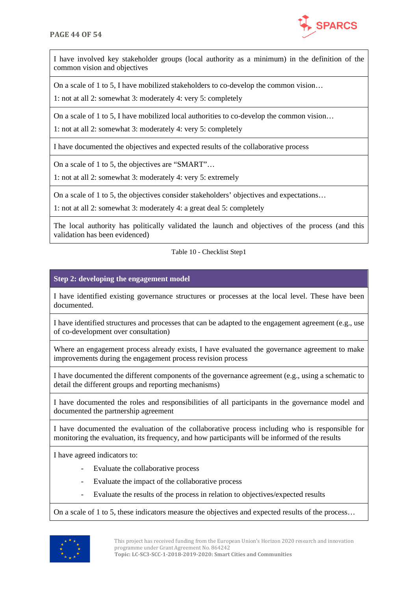

I have involved key stakeholder groups (local authority as a minimum) in the definition of the common vision and objectives

On a scale of 1 to 5, I have mobilized stakeholders to co-develop the common vision…

1: not at all 2: somewhat 3: moderately 4: very 5: completely

On a scale of 1 to 5, I have mobilized local authorities to co-develop the common vision…

1: not at all 2: somewhat 3: moderately 4: very 5: completely

I have documented the objectives and expected results of the collaborative process

On a scale of 1 to 5, the objectives are "SMART"…

1: not at all 2: somewhat 3: moderately 4: very 5: extremely

On a scale of 1 to 5, the objectives consider stakeholders' objectives and expectations…

1: not at all 2: somewhat 3: moderately 4: a great deal 5: completely

<span id="page-43-0"></span>The local authority has politically validated the launch and objectives of the process (and this validation has been evidenced)

#### Table 10 - Checklist Step1

#### **Step 2: developing the engagement model**

I have identified existing governance structures or processes at the local level. These have been documented.

I have identified structures and processes that can be adapted to the engagement agreement (e.g., use of co-development over consultation)

Where an engagement process already exists, I have evaluated the governance agreement to make improvements during the engagement process revision process

I have documented the different components of the governance agreement (e.g., using a schematic to detail the different groups and reporting mechanisms)

I have documented the roles and responsibilities of all participants in the governance model and documented the partnership agreement

I have documented the evaluation of the collaborative process including who is responsible for monitoring the evaluation, its frequency, and how participants will be informed of the results

I have agreed indicators to:

- Evaluate the collaborative process
- Evaluate the impact of the collaborative process
- Evaluate the results of the process in relation to objectives/expected results

On a scale of 1 to 5, these indicators measure the objectives and expected results of the process…

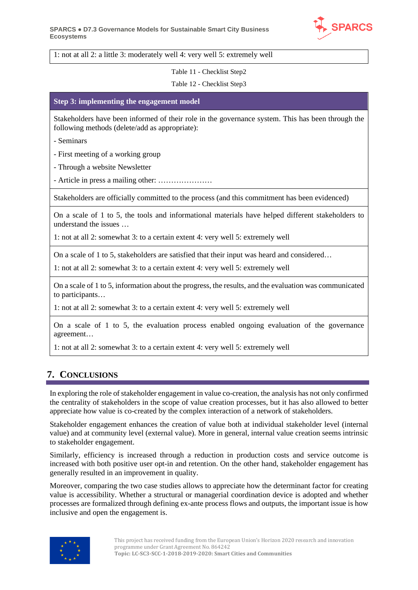

<span id="page-44-1"></span>1: not at all 2: a little 3: moderately well 4: very well 5: extremely well

Table 11 - Checklist Step2

#### Table 12 - Checklist Step3

#### <span id="page-44-2"></span>**Step 3: implementing the engagement model**

Stakeholders have been informed of their role in the governance system. This has been through the following methods (delete/add as appropriate):

- Seminars

- First meeting of a working group

- Through a website Newsletter

- Article in press a mailing other: …………………

Stakeholders are officially committed to the process (and this commitment has been evidenced)

On a scale of 1 to 5, the tools and informational materials have helped different stakeholders to understand the issues …

1: not at all 2: somewhat 3: to a certain extent 4: very well 5: extremely well

On a scale of 1 to 5, stakeholders are satisfied that their input was heard and considered…

1: not at all 2: somewhat 3: to a certain extent 4: very well 5: extremely well

On a scale of 1 to 5, information about the progress, the results, and the evaluation was communicated to participants…

1: not at all 2: somewhat 3: to a certain extent 4: very well 5: extremely well

On a scale of 1 to 5, the evaluation process enabled ongoing evaluation of the governance agreement…

<span id="page-44-0"></span>1: not at all 2: somewhat 3: to a certain extent 4: very well 5: extremely well

## **7. CONCLUSIONS**

In exploring the role of stakeholder engagement in value co-creation, the analysis has not only confirmed the centrality of stakeholders in the scope of value creation processes, but it has also allowed to better appreciate how value is co-created by the complex interaction of a network of stakeholders.

Stakeholder engagement enhances the creation of value both at individual stakeholder level (internal value) and at community level (external value). More in general, internal value creation seems intrinsic to stakeholder engagement.

Similarly, efficiency is increased through a reduction in production costs and service outcome is increased with both positive user opt-in and retention. On the other hand, stakeholder engagement has generally resulted in an improvement in quality.

Moreover, comparing the two case studies allows to appreciate how the determinant factor for creating value is accessibility. Whether a structural or managerial coordination device is adopted and whether processes are formalized through defining ex-ante process flows and outputs, the important issue is how inclusive and open the engagement is.

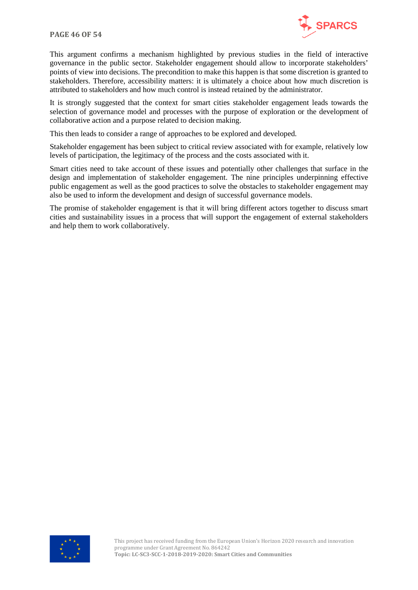

This argument confirms a mechanism highlighted by previous studies in the field of interactive governance in the public sector. Stakeholder engagement should allow to incorporate stakeholders' points of view into decisions. The precondition to make this happen is that some discretion is granted to stakeholders. Therefore, accessibility matters: it is ultimately a choice about how much discretion is attributed to stakeholders and how much control is instead retained by the administrator.

It is strongly suggested that the context for smart cities stakeholder engagement leads towards the selection of governance model and processes with the purpose of exploration or the development of collaborative action and a purpose related to decision making.

This then leads to consider a range of approaches to be explored and developed.

Stakeholder engagement has been subject to critical review associated with for example, relatively low levels of participation, the legitimacy of the process and the costs associated with it.

Smart cities need to take account of these issues and potentially other challenges that surface in the design and implementation of stakeholder engagement. The nine principles underpinning effective public engagement as well as the good practices to solve the obstacles to stakeholder engagement may also be used to inform the development and design of successful governance models.

The promise of stakeholder engagement is that it will bring different actors together to discuss smart cities and sustainability issues in a process that will support the engagement of external stakeholders and help them to work collaboratively.

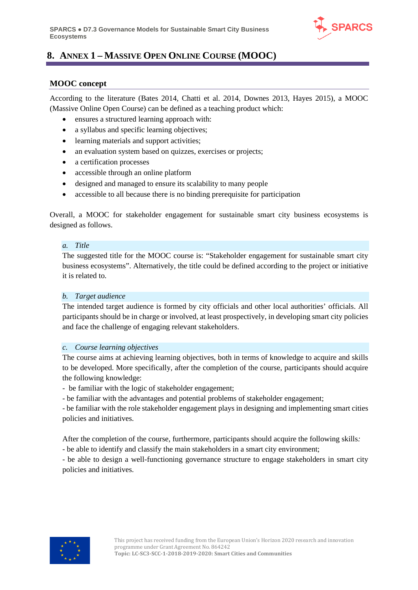

## <span id="page-46-0"></span>**8. ANNEX 1 – MASSIVE OPEN ONLINE COURSE (MOOC)**

#### <span id="page-46-1"></span>**MOOC concept**

According to the literature (Bates 2014, Chatti et al. 2014, Downes 2013, Hayes 2015), a MOOC (Massive Online Open Course) can be defined as a teaching product which:

- ensures a structured learning approach with:
- a syllabus and specific learning objectives;
- learning materials and support activities;
- an evaluation system based on quizzes, exercises or projects;
- a certification processes
- accessible through an online platform
- designed and managed to ensure its scalability to many people
- accessible to all because there is no binding prerequisite for participation

Overall, a MOOC for stakeholder engagement for sustainable smart city business ecosystems is designed as follows.

#### *a. Title*

The suggested title for the MOOC course is: "Stakeholder engagement for sustainable smart city business ecosystems". Alternatively, the title could be defined according to the project or initiative it is related to.

#### *b. Target audience*

The intended target audience is formed by city officials and other local authorities' officials. All participants should be in charge or involved, at least prospectively, in developing smart city policies and face the challenge of engaging relevant stakeholders.

#### *c. Course learning objectives*

The course aims at achieving learning objectives, both in terms of knowledge to acquire and skills to be developed. More specifically, after the completion of the course, participants should acquire the following knowledge:

- be familiar with the logic of stakeholder engagement;

- be familiar with the advantages and potential problems of stakeholder engagement;

- be familiar with the role stakeholder engagement plays in designing and implementing smart cities policies and initiatives.

After the completion of the course, furthermore, participants should acquire the following skills*:*

- be able to identify and classify the main stakeholders in a smart city environment;

- be able to design a well-functioning governance structure to engage stakeholders in smart city policies and initiatives.

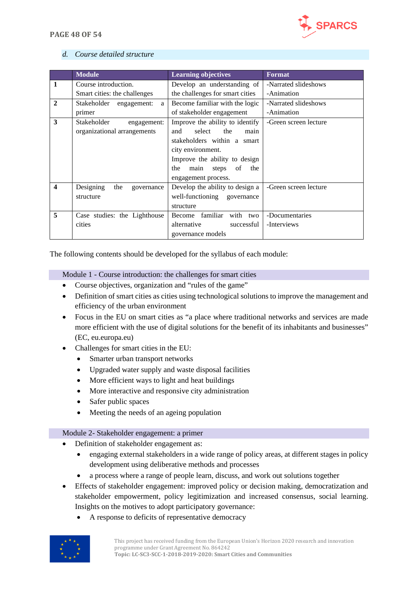

#### *d. Course detailed structure*

|                  | <b>Module</b>                   | <b>Learning objectives</b>        | <b>Format</b>         |
|------------------|---------------------------------|-----------------------------------|-----------------------|
| 1                | Course introduction.            | Develop an understanding of       | -Narrated slideshows  |
|                  | Smart cities: the challenges    | the challenges for smart cities   | -Animation            |
| $\mathbf{2}$     | Stakeholder<br>engagement:<br>a | Become familiar with the logic    | -Narrated slideshows  |
|                  | primer                          | of stakeholder engagement         | -Animation            |
| 3                | Stakeholder<br>engagement:      | Improve the ability to identify   | -Green screen lecture |
|                  | organizational arrangements     | select<br>the<br>and<br>main      |                       |
|                  |                                 | stakeholders within a smart       |                       |
|                  |                                 | city environment.                 |                       |
|                  |                                 | Improve the ability to design     |                       |
|                  |                                 | main<br>the<br>steps<br>of<br>the |                       |
|                  |                                 | engagement process.               |                       |
| $\boldsymbol{4}$ | Designing<br>the<br>governance  | Develop the ability to design a   | -Green screen lecture |
|                  | structure                       | well-functioning governance       |                       |
|                  |                                 | structure                         |                       |
| 5                | Case studies: the Lighthouse    | Become familiar with two          | -Documentaries        |
|                  | cities                          | alternative<br>successful         | -Interviews           |
|                  |                                 | governance models                 |                       |

The following contents should be developed for the syllabus of each module:

Module 1 - Course introduction: the challenges for smart cities

- Course objectives, organization and "rules of the game"
- Definition of smart cities as cities using technological solutions to improve the management and efficiency of the urban environment
- Focus in the EU on smart cities as "a place where traditional networks and services are made more efficient with the use of digital solutions for the benefit of its inhabitants and businesses" (EC, eu.europa.eu)
- Challenges for smart cities in the EU:
	- Smarter urban transport networks
	- Upgraded water supply and waste disposal facilities
	- More efficient ways to light and heat buildings
	- More interactive and responsive city administration
	- Safer public spaces
	- Meeting the needs of an ageing population

#### Module 2- Stakeholder engagement: a primer

- Definition of stakeholder engagement as:
	- engaging external stakeholders in a wide range of policy areas, at different stages in policy development using deliberative methods and processes
	- a process where a range of people learn, discuss, and work out solutions together
- Effects of stakeholder engagement: improved policy or decision making, democratization and stakeholder empowerment, policy legitimization and increased consensus, social learning. Insights on the motives to adopt participatory governance:
	- A response to deficits of representative democracy

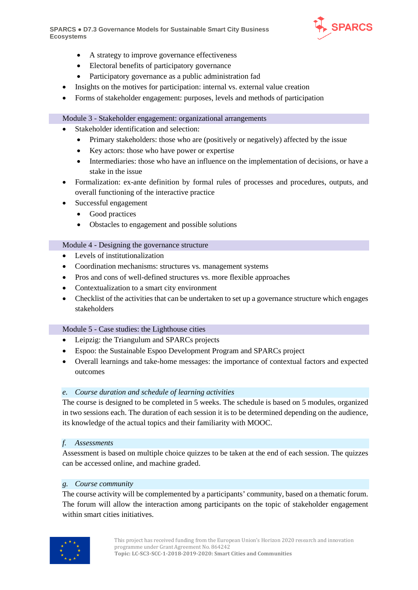**SPARCS** ● **D7.3 Governance Models for Sustainable Smart City Business Ecosystems**



- A strategy to improve governance effectiveness
- Electoral benefits of participatory governance
- Participatory governance as a public administration fad
- Insights on the motives for participation: internal vs. external value creation
- Forms of stakeholder engagement: purposes, levels and methods of participation

#### Module 3 - Stakeholder engagement: organizational arrangements

- Stakeholder identification and selection:
	- Primary stakeholders: those who are (positively or negatively) affected by the issue
	- Key actors: those who have power or expertise
	- Intermediaries: those who have an influence on the implementation of decisions, or have a stake in the issue
- Formalization: ex-ante definition by formal rules of processes and procedures, outputs, and overall functioning of the interactive practice
- Successful engagement
	- Good practices
	- Obstacles to engagement and possible solutions

#### Module 4 - Designing the governance structure

- Levels of institutionalization
- Coordination mechanisms: structures vs. management systems
- Pros and cons of well-defined structures vs. more flexible approaches
- Contextualization to a smart city environment
- Checklist of the activities that can be undertaken to set up a governance structure which engages stakeholders

#### Module 5 - Case studies: the Lighthouse cities

- Leipzig: the Triangulum and SPARCs projects
- Espoo: the Sustainable Espoo Development Program and SPARCs project
- Overall learnings and take-home messages: the importance of contextual factors and expected outcomes

#### *e. Course duration and schedule of learning activities*

The course is designed to be completed in 5 weeks. The schedule is based on 5 modules, organized in two sessions each. The duration of each session it is to be determined depending on the audience, its knowledge of the actual topics and their familiarity with MOOC.

#### *f. Assessments*

Assessment is based on multiple choice quizzes to be taken at the end of each session. The quizzes can be accessed online, and machine graded.

#### *g. Course community*

The course activity will be complemented by a participants' community, based on a thematic forum. The forum will allow the interaction among participants on the topic of stakeholder engagement within smart cities initiatives.

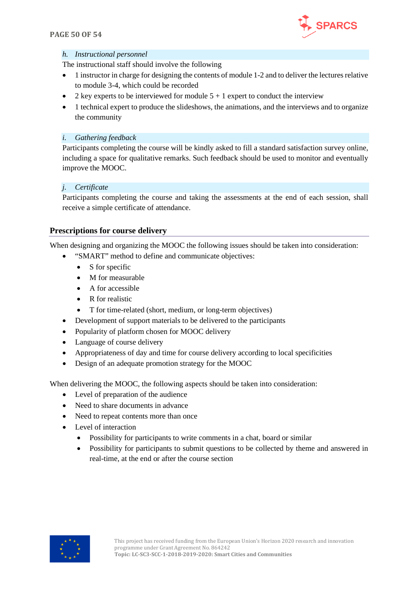

#### *h. Instructional personnel*

The instructional staff should involve the following

- 1 instructor in charge for designing the contents of module 1-2 and to deliver the lectures relative to module 3-4, which could be recorded
- 2 key experts to be interviewed for module  $5 + 1$  expert to conduct the interview
- 1 technical expert to produce the slideshows, the animations, and the interviews and to organize the community

#### *i. Gathering feedback*

Participants completing the course will be kindly asked to fill a standard satisfaction survey online, including a space for qualitative remarks. Such feedback should be used to monitor and eventually improve the MOOC.

#### *j. Certificate*

Participants completing the course and taking the assessments at the end of each session, shall receive a simple certificate of attendance.

#### <span id="page-49-0"></span>**Prescriptions for course delivery**

When designing and organizing the MOOC the following issues should be taken into consideration:

- "SMART" method to define and communicate objectives:
	- S for specific
	- M for measurable
	- A for accessible
	- R for realistic
	- T for time-related (short, medium, or long-term objectives)
- Development of support materials to be delivered to the participants
- Popularity of platform chosen for MOOC delivery
- Language of course delivery
- Appropriateness of day and time for course delivery according to local specificities
- Design of an adequate promotion strategy for the MOOC

When delivering the MOOC, the following aspects should be taken into consideration:

- Level of preparation of the audience
- Need to share documents in advance
- Need to repeat contents more than once
- Level of interaction
	- Possibility for participants to write comments in a chat, board or similar
	- Possibility for participants to submit questions to be collected by theme and answered in real-time, at the end or after the course section

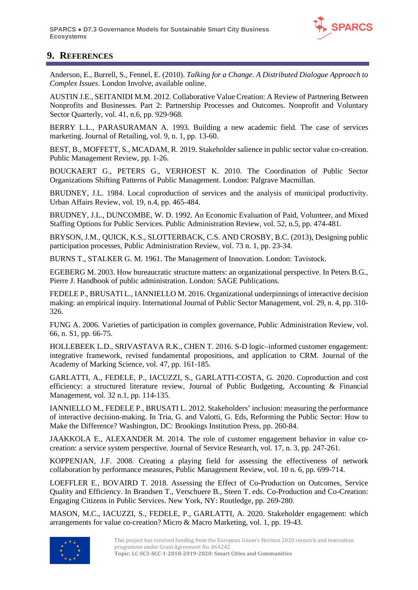

## <span id="page-50-0"></span>**9. REFERENCES**

Anderson, E., Burrell, S., Fennel, E. (2010). *Talking for a Change. A Distributed Dialogue Approach to Complex Issues*. London Involve, available online.

AUSTIN J.E., SEITANIDI M.M. 2012. Collaborative Value Creation: A Review of Partnering Between Nonprofits and Businesses. Part 2: Partnership Processes and Outcomes. Nonprofit and Voluntary Sector Quarterly, vol. 41, n.6, pp. 929-968.

BERRY L.L., PARASURAMAN A. 1993. Building a new academic field. The case of services marketing. Journal of Retailing, vol. 9, n. 1, pp. 13-60.

BEST, B., MOFFETT, S., MCADAM, R. 2019. Stakeholder salience in public sector value co-creation. Public Management Review, pp. 1-26.

BOUCKAERT G., PETERS G., VERHOEST K. 2010. The Coordination of Public Sector Organizations Shifting Patterns of Public Management. London: Palgrave Macmillan.

BRUDNEY, J.L. 1984. Local coproduction of services and the analysis of municipal productivity. Urban Affairs Review, vol. 19, n.4, pp. 465-484.

BRUDNEY, J.L., DUNCOMBE, W. D. 1992. An Economic Evaluation of Paid, Volunteer, and Mixed Staffing Options for Public Services. Public Administration Review, vol. 52, n.5, pp. 474-481.

BRYSON, J.M., QUICK, K.S., SLOTTERBACK, C.S. AND CROSBY, B.C. (2013), Designing public participation processes, Public Administration Review, vol. 73 n. 1, pp. 23-34.

BURNS T., STALKER G. M. 1961. The Management of Innovation. London: Tavistock.

EGEBERG M. 2003. How bureaucratic structure matters: an organizational perspective. In Peters B.G., Pierre J. Handbook of public administration. London: SAGE Publications.

FEDELE P., BRUSATI L., IANNIELLO M. 2016. Organizational underpinnings of interactive decision making: an empirical inquiry. International Journal of Public Sector Management, vol. 29, n. 4, pp. 310- 326.

FUNG A. 2006. Varieties of participation in complex governance, Public Administration Review, vol. 66, n. S1, pp. 66-75.

HOLLEBEEK L.D., SRIVASTAVA R.K., CHEN T. 2016. S-D logic–informed customer engagement: integrative framework, revised fundamental propositions, and application to CRM. Journal of the Academy of Marking Science, vol. 47, pp. 161-185.

GARLATTI, A., FEDELE, P., IACUZZI, S., GARLATTI-COSTA, G. 2020. Coproduction and cost efficiency: a structured literature review, Journal of Public Budgeting, Accounting & Financial Management, vol. 32 n.1, pp. 114-135.

IANNIELLO M., FEDELE P., BRUSATI L. 2012. Stakeholders' inclusion: measuring the performance of interactive decision-making. In Tria, G. and Valotti, G. Eds, Reforming the Public Sector: How to Make the Difference? Washington, DC: Brookings Institution Press, pp. 260-84.

JAAKKOLA E., ALEXANDER M. 2014. The role of customer engagement behavior in value cocreation: a service system perspective. Journal of Service Research, vol. 17, n. 3, pp. 247-261.

KOPPENJAN, J.F. 2008. Creating a playing field for assessing the effectiveness of network collaboration by performance measures, Public Management Review, vol. 10 n. 6, pp. 699-714.

LOEFFLER E., BOVAIRD T. 2018. Assessing the Effect of Co-Production on Outcomes, Service Quality and Efficiency. In Brandsen T., Verschuere B., Steen T. eds. Co-Production and Co-Creation: Engaging Citizens in Public Services. New York, NY: Routledge, pp. 269-280.

MASON, M.C., IACUZZI, S., FEDELE, P., GARLATTI, A. 2020. Stakeholder engagement: which arrangements for value co-creation? Micro & Macro Marketing, vol. 1, pp. 19-43.

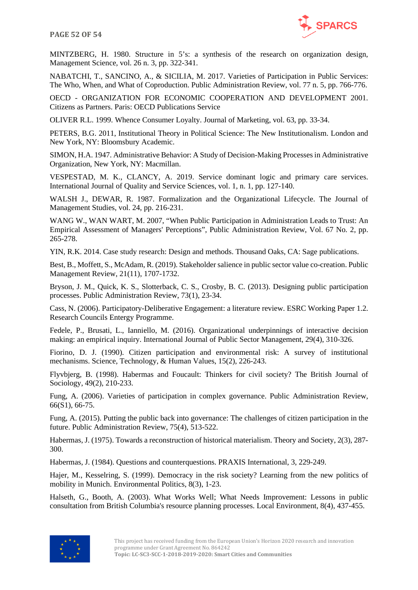



MINTZBERG, H. 1980. Structure in 5's: a synthesis of the research on organization design, Management Science, vol. 26 n. 3, pp. 322-341.

NABATCHI, T., SANCINO, A., & SICILIA, M. 2017. Varieties of Participation in Public Services: The Who, When, and What of Coproduction. Public Administration Review, vol. 77 n. 5, pp. 766-776.

OECD - ORGANIZATION FOR ECONOMIC COOPERATION AND DEVELOPMENT 2001. Citizens as Partners. Paris: OECD Publications Service

OLIVER R.L. 1999. Whence Consumer Loyalty. Journal of Marketing, vol. 63, pp. 33-34.

PETERS, B.G. 2011, Institutional Theory in Political Science: The New Institutionalism. London and New York, NY: Bloomsbury Academic.

SIMON, H.A. 1947. Administrative Behavior: A Study of Decision-Making Processes in Administrative Organization, New York, NY: Macmillan.

VESPESTAD, M. K., CLANCY, A. 2019. Service dominant logic and primary care services. International Journal of Quality and Service Sciences, vol. 1, n. 1, pp. 127-140.

WALSH J., DEWAR, R. 1987. Formalization and the Organizational Lifecycle. The Journal of Management Studies, vol. 24, pp. 216-231.

WANG W., WAN WART, M. 2007, "When Public Participation in Administration Leads to Trust: An Empirical Assessment of Managers' Perceptions", Public Administration Review, Vol. 67 No. 2, pp. 265-278.

YIN, R.K. 2014. Case study research: Design and methods. Thousand Oaks, CA: Sage publications.

Best, B., Moffett, S., McAdam, R. (2019). Stakeholder salience in public sector value co-creation. Public Management Review, 21(11), 1707-1732.

Bryson, J. M., Quick, K. S., Slotterback, C. S., Crosby, B. C. (2013). Designing public participation processes. Public Administration Review, 73(1), 23-34.

Cass, N. (2006). Participatory-Deliberative Engagement: a literature review. ESRC Working Paper 1.2. Research Councils Entergy Programme.

Fedele, P., Brusati, L., Ianniello, M. (2016). Organizational underpinnings of interactive decision making: an empirical inquiry. International Journal of Public Sector Management, 29(4), 310-326.

Fiorino, D. J. (1990). Citizen participation and environmental risk: A survey of institutional mechanisms. Science, Technology, & Human Values, 15(2), 226-243.

Flyvbjerg, B. (1998). Habermas and Foucault: Thinkers for civil society? The British Journal of Sociology, 49(2), 210-233.

Fung, A. (2006). Varieties of participation in complex governance. Public Administration Review, 66(S1), 66-75.

Fung, A. (2015). Putting the public back into governance: The challenges of citizen participation in the future. Public Administration Review, 75(4), 513-522.

Habermas, J. (1975). Towards a reconstruction of historical materialism. Theory and Society, 2(3), 287- 300.

Habermas, J. (1984). Questions and counterquestions. PRAXIS International, 3, 229-249.

Hajer, M., Kesselring, S. (1999). Democracy in the risk society? Learning from the new politics of mobility in Munich. Environmental Politics, 8(3), 1-23.

Halseth, G., Booth, A. (2003). What Works Well; What Needs Improvement: Lessons in public consultation from British Columbia's resource planning processes. Local Environment, 8(4), 437-455.

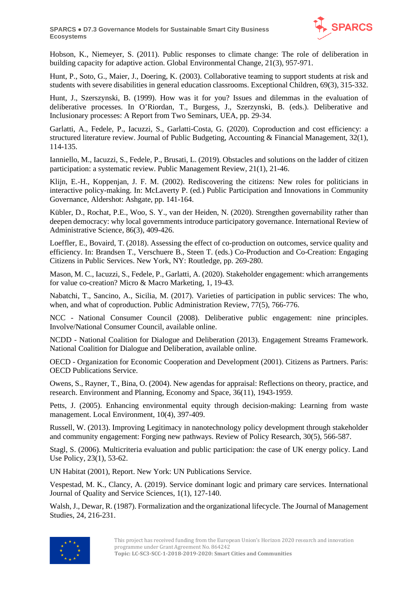

Hobson, K., Niemeyer, S. (2011). Public responses to climate change: The role of deliberation in building capacity for adaptive action. Global Environmental Change, 21(3), 957-971.

Hunt, P., Soto, G., Maier, J., Doering, K. (2003). Collaborative teaming to support students at risk and students with severe disabilities in general education classrooms. Exceptional Children, 69(3), 315-332.

Hunt, J., Szerszynski, B. (1999). How was it for you? Issues and dilemmas in the evaluation of deliberative processes. In O'Riordan, T., Burgess, J., Szerzynski, B. (eds.). Deliberative and Inclusionary processes: A Report from Two Seminars, UEA, pp. 29-34.

Garlatti, A., Fedele, P., Iacuzzi, S., Garlatti-Costa, G. (2020). Coproduction and cost efficiency: a structured literature review. Journal of Public Budgeting, Accounting & Financial Management, 32(1), 114-135.

Ianniello, M., Iacuzzi, S., Fedele, P., Brusati, L. (2019). Obstacles and solutions on the ladder of citizen participation: a systematic review. Public Management Review, 21(1), 21-46.

Klijn, E.-H., Koppenjan, J. F. M. (2002). Rediscovering the citizens: New roles for politicians in interactive policy-making. In: McLaverty P. (ed.) Public Participation and Innovations in Community Governance, Aldershot: Ashgate, pp. 141-164.

Kübler, D., Rochat, P.E., Woo, S. Y., van der Heiden, N. (2020). Strengthen governability rather than deepen democracy: why local governments introduce participatory governance. International Review of Administrative Science, 86(3), 409-426.

Loeffler, E., Bovaird, T. (2018). Assessing the effect of co-production on outcomes, service quality and efficiency. In: Brandsen T., Verschuere B., Steen T. (eds.) Co-Production and Co-Creation: Engaging Citizens in Public Services. New York, NY: Routledge, pp. 269-280.

Mason, M. C., Iacuzzi, S., Fedele, P., Garlatti, A. (2020). Stakeholder engagement: which arrangements for value co-creation? Micro & Macro Marketing, 1, 19-43.

Nabatchi, T., Sancino, A., Sicilia, M. (2017). Varieties of participation in public services: The who, when, and what of coproduction. Public Administration Review, 77(5), 766-776.

NCC - National Consumer Council (2008). Deliberative public engagement: nine principles. Involve/National Consumer Council, available online.

NCDD - National Coalition for Dialogue and Deliberation (2013). Engagement Streams Framework. National Coalition for Dialogue and Deliberation, available online.

OECD - Organization for Economic Cooperation and Development (2001). Citizens as Partners. Paris: OECD Publications Service.

Owens, S., Rayner, T., Bina, O. (2004). New agendas for appraisal: Reflections on theory, practice, and research. Environment and Planning, Economy and Space, 36(11), 1943-1959.

Petts, J. (2005). Enhancing environmental equity through decision-making: Learning from waste management. Local Environment, 10(4), 397-409.

Russell, W. (2013). Improving Legitimacy in nanotechnology policy development through stakeholder and community engagement: Forging new pathways. Review of Policy Research, 30(5), 566-587.

Stagl, S. (2006). Multicriteria evaluation and public participation: the case of UK energy policy. Land Use Policy, 23(1), 53-62.

UN Habitat (2001), Report. New York: UN Publications Service.

Vespestad, M. K., Clancy, A. (2019). Service dominant logic and primary care services. International Journal of Quality and Service Sciences, 1(1), 127-140.

Walsh, J., Dewar, R. (1987). Formalization and the organizational lifecycle. The Journal of Management Studies, 24, 216-231.